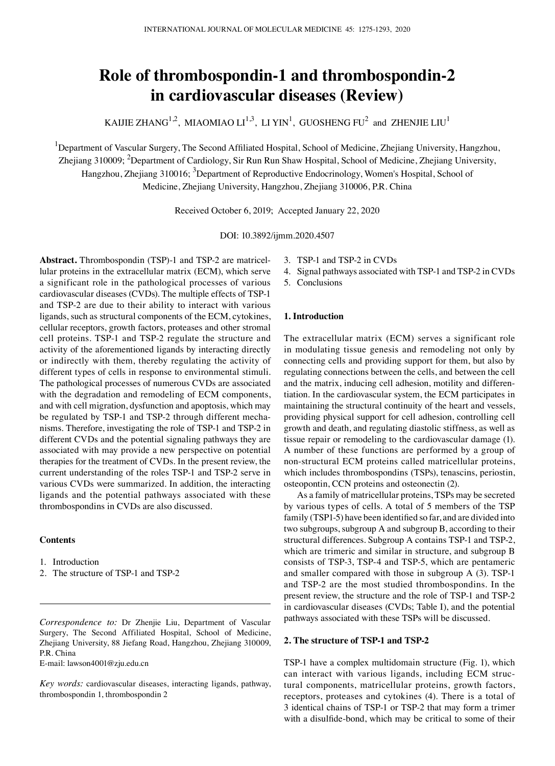# **Role of thrombospondin‑1 and thrombospondin‑2 in cardiovascular diseases (Review)**

KAIJIE ZHANG $^{1,2}$ , MIAOMIAO LI $^{1,3}$ , LI YIN $^{1}$ , GUOSHENG FU $^{2}$  and ZHENJIE LIU $^{1}$ 

<sup>1</sup>Department of Vascular Surgery, The Second Affiliated Hospital, School of Medicine, Zhejiang University, Hangzhou, Zhejiang 310009; <sup>2</sup>Department of Cardiology, Sir Run Run Shaw Hospital, School of Medicine, Zhejiang University, Hangzhou, Zhejiang 310016; <sup>3</sup>Department of Reproductive Endocrinology, Women's Hospital, School of Medicine, Zhejiang University, Hangzhou, Zhejiang 310006, P.R. China

Received October 6, 2019; Accepted January 22, 2020

DOI: 10.3892/ijmm.2020.4507

**Abstract.** Thrombospondin (TSP)-1 and TSP-2 are matricellular proteins in the extracellular matrix (ECM), which serve a significant role in the pathological processes of various cardiovascular diseases (CVDs). The multiple effects of TSP-1 and TSP-2 are due to their ability to interact with various ligands, such as structural components of the ECM, cytokines, cellular receptors, growth factors, proteases and other stromal cell proteins. TSP-1 and TSP-2 regulate the structure and activity of the aforementioned ligands by interacting directly or indirectly with them, thereby regulating the activity of different types of cells in response to environmental stimuli. The pathological processes of numerous CVDs are associated with the degradation and remodeling of ECM components, and with cell migration, dysfunction and apoptosis, which may be regulated by TSP-1 and TSP-2 through different mechanisms. Therefore, investigating the role of TSP-1 and TSP-2 in different CVDs and the potential signaling pathways they are associated with may provide a new perspective on potential therapies for the treatment of CVDs. In the present review, the current understanding of the roles TSP-1 and TSP-2 serve in various CVDs were summarized. In addition, the interacting ligands and the potential pathways associated with these thrombospondins in CVDs are also discussed.

## **Contents**

- 1. Introduction
- 2. The structure of TSP-1 and TSP-2

*Correspondence to:* Dr Zhenjie Liu, Department of Vascular Surgery, The Second Affiliated Hospital, School of Medicine, Zhejiang University, 88 Jiefang Road, Hangzhou, Zhejiang 310009, P.R. China

E-mail: lawson4001@zju.edu.cn

*Key words:* cardiovascular diseases, interacting ligands, pathway, thrombospondin 1, thrombospondin 2

- 3. TSP-1 and TSP-2 in CVDs
- 4. Signal pathways associated with TSP-1 and TSP-2 in CVDs
- 5. Conclusions

## **1. Introduction**

The extracellular matrix (ECM) serves a significant role in modulating tissue genesis and remodeling not only by connecting cells and providing support for them, but also by regulating connections between the cells, and between the cell and the matrix, inducing cell adhesion, motility and differentiation. In the cardiovascular system, the ECM participates in maintaining the structural continuity of the heart and vessels, providing physical support for cell adhesion, controlling cell growth and death, and regulating diastolic stiffness, as well as tissue repair or remodeling to the cardiovascular damage (1). A number of these functions are performed by a group of non-structural ECM proteins called matricellular proteins, which includes thrombospondins (TSPs), tenascins, periostin, osteopontin, CCN proteins and osteonectin (2).

As a family of matricellular proteins, TSPs may be secreted by various types of cells. A total of 5 members of the TSP family (TSP1-5) have been identified so far, and are divided into two subgroups, subgroup A and subgroup B, according to their structural differences. Subgroup A contains TSP-1 and TSP-2, which are trimeric and similar in structure, and subgroup B consists of TSP-3, TSP-4 and TSP-5, which are pentameric and smaller compared with those in subgroup A (3). TSP-1 and TSP-2 are the most studied thrombospondins. In the present review, the structure and the role of TSP-1 and TSP-2 in cardiovascular diseases (CVDs; Table I), and the potential pathways associated with these TSPs will be discussed.

### **2. The structure of TSP‑1 and TSP‑2**

TSP-1 have a complex multidomain structure (Fig. 1), which can interact with various ligands, including ECM structural components, matricellular proteins, growth factors, receptors, proteases and cytokines (4). There is a total of 3 identical chains of TSP-1 or TSP-2 that may form a trimer with a disulfide-bond, which may be critical to some of their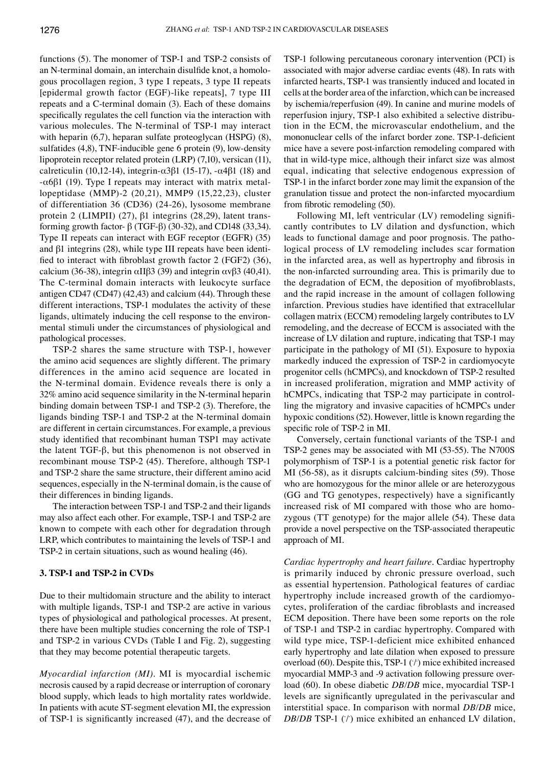functions (5). The monomer of TSP-1 and TSP-2 consists of an N‑terminal domain, an interchain disulfide knot, a homologous procollagen region, 3 type I repeats, 3 type II repeats [epidermal growth factor (EGF)-like repeats], 7 type III repeats and a C‑terminal domain (3). Each of these domains specifically regulates the cell function via the interaction with various molecules. The N-terminal of TSP-1 may interact with heparin (6,7), heparan sulfate proteoglycan (HSPG) (8), sulfatides (4,8), TNF-inducible gene 6 protein (9), low-density lipoprotein receptor related protein (LRP) (7,10), versican (11), calreticulin (10,12-14), integrin-α3β1 (15-17), -α4β1 (18) and -α6β1 (19). Type I repeats may interact with matrix metallopeptidase (MMP)-2 (20,21), MMP9 (15,22,23), cluster of differentiation 36 (CD36) (24‑26), lysosome membrane protein 2 (LIMPII) (27), β1 integrins (28,29), latent transforming growth factor- β (TGF-β) (30-32), and CD148 (33,34). Type II repeats can interact with EGF receptor (EGFR) (35) and β1 integrins (28), while type III repeats have been identified to interact with fibroblast growth factor 2 (FGF2) (36), calcium (36-38), integrin  $\alpha$ IIβ3 (39) and integrin  $\alpha$ vβ3 (40,41). The C-terminal domain interacts with leukocyte surface antigen CD47 (CD47) (42,43) and calcium (44). Through these different interactions, TSP-1 modulates the activity of these ligands, ultimately inducing the cell response to the environmental stimuli under the circumstances of physiological and pathological processes.

TSP-2 shares the same structure with TSP-1, however the amino acid sequences are slightly different. The primary differences in the amino acid sequence are located in the N-terminal domain. Evidence reveals there is only a 32% amino acid sequence similarity in the N-terminal heparin binding domain between TSP-1 and TSP-2 (3). Therefore, the ligands binding TSP-1 and TSP-2 at the N-terminal domain are different in certain circumstances. For example, a previous study identified that recombinant human TSP1 may activate the latent TGF-β, but this phenomenon is not observed in recombinant mouse TSP-2 (45). Therefore, although TSP-1 and TSP-2 share the same structure, their different amino acid sequences, especially in the N-terminal domain, is the cause of their differences in binding ligands.

The interaction between TSP-1 and TSP-2 and their ligands may also affect each other. For example, TSP-1 and TSP-2 are known to compete with each other for degradation through LRP, which contributes to maintaining the levels of TSP-1 and TSP-2 in certain situations, such as wound healing (46).

#### **3. TSP‑1 and TSP‑2 in CVDs**

Due to their multidomain structure and the ability to interact with multiple ligands, TSP-1 and TSP-2 are active in various types of physiological and pathological processes. At present, there have been multiple studies concerning the role of TSP-1 and TSP-2 in various CVDs (Table I and Fig. 2), suggesting that they may become potential therapeutic targets.

*Myocardial infarction (MI).* MI is myocardial ischemic necrosis caused by a rapid decrease or interruption of coronary blood supply, which leads to high mortality rates worldwide. In patients with acute ST-segment elevation MI, the expression of TSP‑1 is significantly increased (47), and the decrease of TSP-1 following percutaneous coronary intervention (PCI) is associated with major adverse cardiac events (48). In rats with infarcted hearts, TSP-1 was transiently induced and located in cells at the border area of the infarction, which can be increased by ischemia/reperfusion (49). In canine and murine models of reperfusion injury, TSP-1 also exhibited a selective distribution in the ECM, the microvascular endothelium, and the mononuclear cells of the infarct border zone. TSP-1-deficient mice have a severe post-infarction remodeling compared with that in wild-type mice, although their infarct size was almost equal, indicating that selective endogenous expression of TSP-1 in the infarct border zone may limit the expansion of the granulation tissue and protect the non-infarcted myocardium from fibrotic remodeling (50).

Following MI, left ventricular (LV) remodeling significantly contributes to LV dilation and dysfunction, which leads to functional damage and poor prognosis. The pathological process of LV remodeling includes scar formation in the infarcted area, as well as hypertrophy and fibrosis in the non-infarcted surrounding area. This is primarily due to the degradation of ECM, the deposition of myofibroblasts, and the rapid increase in the amount of collagen following infarction. Previous studies have identified that extracellular collagen matrix (ECCM) remodeling largely contributes to LV remodeling, and the decrease of ECCM is associated with the increase of LV dilation and rupture, indicating that TSP-1 may participate in the pathology of MI (51). Exposure to hypoxia markedly induced the expression of TSP-2 in cardiomyocyte progenitor cells (hCMPCs), and knockdown of TSP-2 resulted in increased proliferation, migration and MMP activity of hCMPCs, indicating that TSP-2 may participate in controlling the migratory and invasive capacities of hCMPCs under hypoxic conditions (52). However, little is known regarding the specific role of TSP-2 in MI.

Conversely, certain functional variants of the TSP-1 and TSP-2 genes may be associated with MI (53-55). The N700S polymorphism of TSP-1 is a potential genetic risk factor for MI (56-58), as it disrupts calcium-binding sites (59). Those who are homozygous for the minor allele or are heterozygous (GG and TG genotypes, respectively) have a significantly increased risk of MI compared with those who are homozygous (TT genotype) for the major allele (54). These data provide a novel perspective on the TSP-associated therapeutic approach of MI.

*Cardiac hypertrophy and heart failure.* Cardiac hypertrophy is primarily induced by chronic pressure overload, such as essential hypertension. Pathological features of cardiac hypertrophy include increased growth of the cardiomyocytes, proliferation of the cardiac fibroblasts and increased ECM deposition. There have been some reports on the role of TSP-1 and TSP-2 in cardiac hypertrophy. Compared with wild type mice, TSP-1-deficient mice exhibited enhanced early hypertrophy and late dilation when exposed to pressure overload (60). Despite this, TSP-1 (/) mice exhibited increased myocardial MMP-3 and -9 activation following pressure overload (60). In obese diabetic *DB/DB* mice, myocardial TSP-1 levels are significantly upregulated in the perivascular and interstitial space. In comparison with normal *DB/DB* mice,  $DB/DB$  TSP-1  $(1)$  mice exhibited an enhanced LV dilation,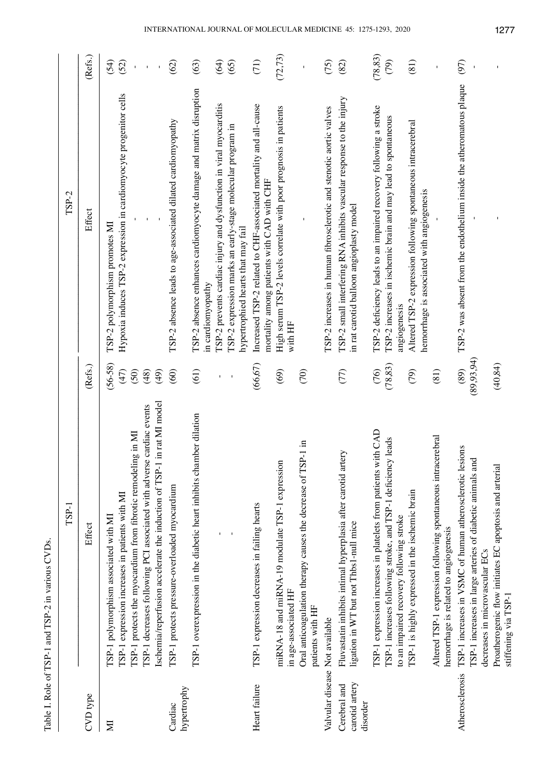| <br> <br>                                                                                                                             |
|---------------------------------------------------------------------------------------------------------------------------------------|
|                                                                                                                                       |
| 17277                                                                                                                                 |
| ֧֧֧ׅ֧ׅ֧֧֧֧֧ׅ֧֧֧ׅ֧֧֧֧֧ׅ֧֧֧֧֧֛֛֪֛֛֛֛֛֚֚֚֚֚֚֚֚֚֚֚֚֚֚֚֚֚֚֚֚֚֚֚֚֚֚֚֚֚֝֝֓֜֓֝֓֝֓֝֓֝֬֜֓֝֓֝֬֝֝֬֝֬֝֬֝֬֝֝֬֝֝<br>֧֧֧֧֧֧֧֧֛֧֛֛֛֧֛֛֛֧֛֚֚֚֚֚֚֚֚֝֜֜֜֜ |
|                                                                                                                                       |
| 1                                                                                                                                     |
| :<br>רמים<br>ı                                                                                                                        |
|                                                                                                                                       |
|                                                                                                                                       |
| 101 - 111<br>c<br>P                                                                                                                   |
|                                                                                                                                       |
| Ï                                                                                                                                     |
| $\frac{1}{2}$                                                                                                                         |
|                                                                                                                                       |
| י<br>ולכן ל                                                                                                                           |
| $\frac{1}{2}$                                                                                                                         |
| J                                                                                                                                     |
|                                                                                                                                       |
|                                                                                                                                       |
|                                                                                                                                       |
|                                                                                                                                       |

|                                            | TSP-1                                                                                                                                                                                                                                                                                                        |                                           | TSP-2                                                                                                                                                                                                                                                            |                      |
|--------------------------------------------|--------------------------------------------------------------------------------------------------------------------------------------------------------------------------------------------------------------------------------------------------------------------------------------------------------------|-------------------------------------------|------------------------------------------------------------------------------------------------------------------------------------------------------------------------------------------------------------------------------------------------------------------|----------------------|
| CVD type                                   | Effect                                                                                                                                                                                                                                                                                                       | (Refs.)                                   | Effect                                                                                                                                                                                                                                                           | (Refs.)              |
| Σ                                          | in rat MI model<br>TSP-1 decreases following PCI associated with adverse cardiac events<br>TSP-1 protects the myocardium from fibrotic remodeling in MI<br>Ischemia/reperfusion accelerate the induction of TSP-1<br>TSP-1 expression increases in patients with MI<br>TSP-1 polymorphism associated with MI | $(56-58)$<br>(50)<br>(49)<br>(47)<br>(48) | Hypoxia induces TSP-2 expression in cardiomyocyte progenitor cells<br>TSP-2 polymorphism promotes MI                                                                                                                                                             | (54)<br>(52)         |
| hypertrophy<br>Cardiac                     | TSP-1 protects pressure-overloaded myocardium                                                                                                                                                                                                                                                                | (60)                                      | TSP-2 absence leads to age-associated dilated cardiomyopathy                                                                                                                                                                                                     | (62)                 |
|                                            | TSP-1 overexpression in the diabetic heart inhibits chamber dilation                                                                                                                                                                                                                                         | (61)                                      | TSP-2 absence enhances cardiomyocyte damage and matrix disruption<br>TSP-2 prevents cardiac injury and dysfunction in viral myocarditis<br>ISP-2 expression marks an early-stage molecular program in<br>hypertrophied hearts that may fail<br>in cardiomyopathy | (64)<br>(63)<br>(65) |
| Heart failure                              | TSP-1 expression decreases in failing hearts                                                                                                                                                                                                                                                                 | (66, 67)                                  | Increased TSP-2 related to CHF-associated mortality and all-cause<br>mortality among patients with CAD with CHF                                                                                                                                                  | (71)                 |
|                                            | Oral anticoagulation therapy causes the decrease of TSP-1 in<br>miRNA-18 and miRNA-19 modulate TSP-1 expression<br>in age-associated HF<br>patients with HF                                                                                                                                                  | (69)<br>(70)                              | High serum TSP-2 levels correlate with poor prognosis in patients<br>with HF                                                                                                                                                                                     | (72, 73)             |
| Valvular disease Not available             |                                                                                                                                                                                                                                                                                                              |                                           | TSP-2 increases in human fibrosclerotic and stenotic aortic valves                                                                                                                                                                                               | (75)                 |
| carotid artery<br>Cerebral and<br>disorder | ЯЭ<br>Fluvastatin inhibits intimal hyperplasia after carotid art<br>ligation in WT but not Thbs1-null mice                                                                                                                                                                                                   | (77)                                      | TSP-2 small interfering RNA inhibits vascular response to the injury<br>in rat carotid balloon angioplasty model                                                                                                                                                 | (82)                 |
|                                            | TSP-1 expression increases in platelets from patients with CAD<br>TSP-1 increases following stroke, and TSP-1 deficiency leads<br>to an impaired recovery following stroke                                                                                                                                   | (78, 83)<br>(76)                          | TSP-2 deficiency leads to an impaired recovery following a stroke<br>TSP-2 increases in ischemic brain and may lead to spontaneous<br>angiogenesis                                                                                                               | (78, 83)<br>(79)     |
|                                            | TSP-1 is highly expressed in the ischemic brain                                                                                                                                                                                                                                                              | (79)                                      | Altered TSP-2 expression following spontaneous intracerebral<br>hemorrhage is associated with angiogenesis                                                                                                                                                       | (81)                 |
|                                            | Altered TSP-1 expression following spontaneous intracerebral<br>hemorrhage is related to angiogenesis                                                                                                                                                                                                        | (81)                                      |                                                                                                                                                                                                                                                                  |                      |
| Atherosclerosis                            | TSP-1 increases in VSMC of human atherosclerotic lesions<br>TSP-1 increases in large arteries of diabetic animals and<br>decreases in microvascular ECs                                                                                                                                                      | (89, 93, 94)<br>(89)                      | TSP-2 was absent from the endothelium inside the atheromatous plaque                                                                                                                                                                                             | (97)<br>$\mathbf I$  |
|                                            | Proatherogenic flow initiates EC apoptosis and arterial<br>stiffening via TSP-1                                                                                                                                                                                                                              | (40, 84)                                  | $\mathbf{I}$                                                                                                                                                                                                                                                     |                      |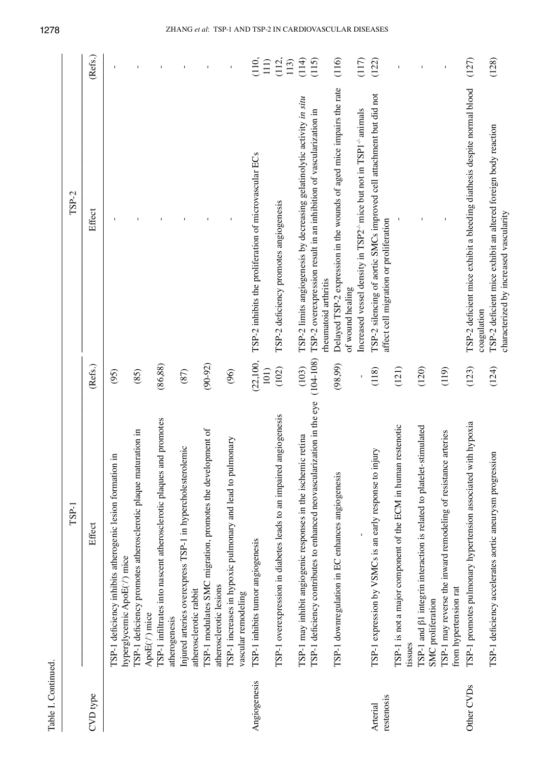|                        | TSP-1                                                                                                                                   |                        | $TSP-2$                                                                                                                                                              |                |
|------------------------|-----------------------------------------------------------------------------------------------------------------------------------------|------------------------|----------------------------------------------------------------------------------------------------------------------------------------------------------------------|----------------|
| CVD type               | Effect                                                                                                                                  | (Refs.)                | Effect                                                                                                                                                               | (Refs.)        |
|                        | TSP-1 deficiency inhibits atherogenic lesion formation in<br>hyperglycemic ApoE(-/) mice                                                | (95)                   |                                                                                                                                                                      | $\mathbf{I}$   |
|                        | aturation in<br>TSP-1 deficiency promotes atherosclerotic plaque m<br>ApoE(t) mice                                                      | (85)                   |                                                                                                                                                                      |                |
|                        | TSP-1 infiltrates into nascent atherosclerotic plaques and promotes<br>atherogenesis                                                    | (86, 88)               |                                                                                                                                                                      |                |
|                        | Injured arteries overexpress TSP-1 in hypercholesterolemic<br>atherosclerotic rabbit                                                    | (87)                   |                                                                                                                                                                      |                |
|                        | TSP-1 modulates SMC migration, promotes the development of<br>atherosclerotic lesions                                                   | $(90-92)$              |                                                                                                                                                                      |                |
|                        | TSP-1 increases in hypoxic pulmonary and lead to pulmonary<br>vascular remodeling                                                       | (96)                   |                                                                                                                                                                      |                |
| Angiogenesis           | TSP-1 inhibits tumor angiogenesis                                                                                                       | (22,100,<br>101)       | TSP-2 inhibits the proliferation of microvascular ECs                                                                                                                | (110,<br>111)  |
|                        | TSP-1 overexpression in diabetes leads to an impaired angiogenesis                                                                      | (102)                  | TSP-2 deficiency promotes angiogenesis                                                                                                                               | (112,<br>113)  |
|                        | TSP-1 deficiency contributes to enhanced neovascularization in the eye<br>TSP-1 may inhibit angiogenic responses in the ischemic retina | $(104 - 108)$<br>(103) | TSP-2 limits angiogenesis by decreasing gelatinolytic activity in situ<br>TSP-2 overexpression result in an inhibition of vascularization in<br>rheumatoid arthritis | (115)<br>(114) |
|                        | TSP-1 downregulation in EC enhances angiogenesis                                                                                        | (98,99)                | Delayed TSP-2 expression in the wounds of aged mice impairs the rate<br>of wound healing                                                                             | (116)          |
|                        |                                                                                                                                         |                        | Increased vessel density in TSP2 <sup>-1</sup> mice but not in TSP1 <sup>-1</sup> animals                                                                            | (117)          |
| restenosis<br>Arterial | injury<br>TSP-1 expression by VSMCs is an early response to                                                                             | (118)                  | TSP-2 silencing of aortic SMCs improved cell attachment but did not<br>affect cell migration or proliferation                                                        | (122)          |
|                        | TSP-1 is not a major component of the ECM in human restenotic<br>tissues                                                                | (121)                  |                                                                                                                                                                      |                |
|                        | TSP-1 and $\beta$ 1 integrin interaction is related to platelet-stimulated<br>SMC proliferation                                         | (120)                  |                                                                                                                                                                      |                |
|                        | TSP-1 may reverse the inward remodeling of resistance arteries<br>from hypertension rat                                                 | (119)                  |                                                                                                                                                                      |                |
| Other CVDs             | with hypoxia<br>TSP-1 promotes pulmonary hypertension associated                                                                        | (123)                  | TSP-2 deficient mice exhibit a bleeding diathesis despite normal blood<br>coagulation                                                                                | (127)          |
|                        | TSP-1 deficiency accelerates aortic aneurysm progression                                                                                | (124)                  | TSP-2 deficient mice exhibit an altered foreign body reaction<br>characterized by increased vascularity                                                              | (128)          |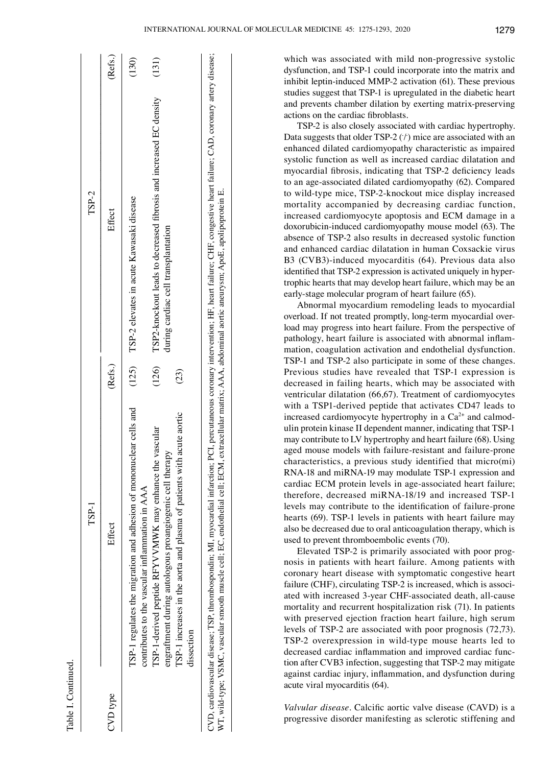|          | TSP-1                                                                                                                                                                                                                                                                                 |         | $TSP-2$                                                                                                   |         |
|----------|---------------------------------------------------------------------------------------------------------------------------------------------------------------------------------------------------------------------------------------------------------------------------------------|---------|-----------------------------------------------------------------------------------------------------------|---------|
| CVD type | Effect                                                                                                                                                                                                                                                                                | (Refs.) | Effect                                                                                                    | (Refs.) |
|          | TSP-1 regulates the migration and adhesion of mononuclear cells and<br>contributes to the vascular inflammation in AAA                                                                                                                                                                |         | (125) TSP-2 elevates in acute Kawasaki disease                                                            | (130)   |
|          | vascular<br>engraftment during autologous proangiogenic cell therapy<br>TSP-1-derived peptide RFYVVMWK may enhance the                                                                                                                                                                | (126)   | TSP2-knockout leads to decreased fibrosis and increased EC density<br>during cardiac cell transplantation | (131)   |
|          | acute aortic<br>TSP-1 increases in the aorta and plasma of patients with<br>dissection                                                                                                                                                                                                | (23)    |                                                                                                           |         |
|          | CVD, cardiovascular disease; TSP, thrombospondin; MI, myocardial infarction; PCI, percutaneous coronary intervention; HF, heart failure; CHF, congestive heart failure; CAD, coronary artery disease;<br>WT, wild-type; VSMC, vascular smooth muscle cell; EC, endothelial cell; ECM, |         | extracellular matrix; AAA, abdominal aortic aneurysm; ApoE, apolipoprotein E.                             |         |

which was associated with mild non-progressive systolic dysfunction, and TSP-1 could incorporate into the matrix and inhibit leptin-induced MMP-2 activation (61). These previous studies suggest that TSP-1 is upregulated in the diabetic heart and prevents chamber dilation by exerting matrix-preserving actions on the cardiac fibroblasts.

TSP-2 is also closely associated with cardiac hypertrophy. Data suggests that older TSP-2  $(1)$  mice are associated with an enhanced dilated cardiomyopathy characteristic as impaired systolic function as well as increased cardiac dilatation and myocardial fibrosis, indicating that TSP‑2 deficiency leads to an age‑associated dilated cardiomyopathy (62). Compared to wild-type mice, TSP-2-knockout mice display increased mortality accompanied by decreasing cardiac function, increased cardiomyocyte apoptosis and ECM damage in a doxorubicin‑induced cardiomyopathy mouse model (63). The absence of TSP-2 also results in decreased systolic function and enhanced cardiac dilatation in human Coxsackie virus B3 (CVB3)-induced myocarditis (64). Previous data also identified that TSP-2 expression is activated uniquely in hypertrophic hearts that may develop heart failure, which may be an early‑stage molecular program of heart failure (65).

Abnormal myocardium remodeling leads to myocardial overload. If not treated promptly, long-term myocardial overload may progress into heart failure. From the perspective of pathology, heart failure is associated with abnormal inflammation, coagulation activation and endothelial dysfunction. TSP-1 and TSP-2 also participate in some of these changes. Previous studies have revealed that TSP-1 expression is decreased in failing hearts, which may be associated with ventricular dilatation (66,67). Treatment of cardiomyocytes with a TSP1-derived peptide that activates CD47 leads to increased cardiomyocyte hypertrophy in a  $Ca<sup>2+</sup>$  and calmodulin protein kinase II dependent manner, indicating that TSP-1 may contribute to LV hypertrophy and heart failure (68). Using aged mouse models with failure-resistant and failure-prone characteristics, a previous study identified that micro(mi) RNA-18 and miRNA-19 may modulate TSP-1 expression and cardiac ECM protein levels in age-associated heart failure; therefore, decreased miRNA-18/19 and increased TSP-1 levels may contribute to the identification of failure-prone hearts (69). TSP-1 levels in patients with heart failure may also be decreased due to oral anticoagulation therapy, which is used to prevent thromboembolic events (70).

Elevated TSP-2 is primarily associated with poor prognosis in patients with heart failure. Among patients with coronary heart disease with symptomatic congestive heart failure (CHF), circulating TSP-2 is increased, which is associated with increased 3-year CHF-associated death, all-cause mortality and recurrent hospitalization risk (71). In patients with preserved ejection fraction heart failure, high serum levels of TSP-2 are associated with poor prognosis (72,73). TSP-2 overexpression in wild-type mouse hearts led to decreased cardiac inflammation and improved cardiac function after CVB3 infection, suggesting that TSP-2 may mitigate against cardiac injury, inflammation, and dysfunction during acute viral myocarditis (64).

*Valvular disease.* Calcific aortic valve disease (CAVD) is a progressive disorder manifesting as sclerotic stiffening and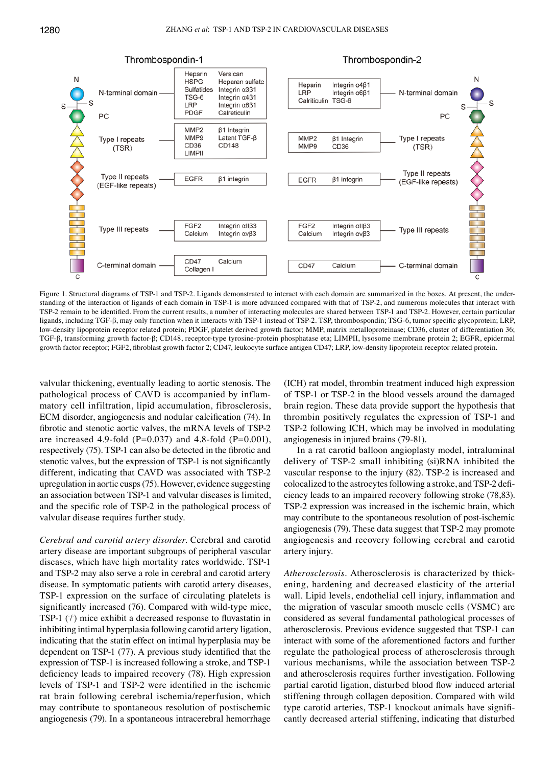

# Thrombospondin-1

#### Thrombospondin-2

Figure 1. Structural diagrams of TSP-1 and TSP-2. Ligands demonstrated to interact with each domain are summarized in the boxes. At present, the understanding of the interaction of ligands of each domain in TSP-1 is more advanced compared with that of TSP-2, and numerous molecules that interact with TSP-2 remain to be identified. From the current results, a number of interacting molecules are shared between TSP-1 and TSP-2. However, certain particular ligands, including TGF-β, may only function when it interacts with TSP-1 instead of TSP-2. TSP, thrombospondin; TSG-6, tumor specific glycoprotein; LRP, low-density lipoprotein receptor related protein; PDGF, platelet derived growth factor; MMP, matrix metalloproteinase; CD36, cluster of differentiation 36; TGF-β, transforming growth factor-β; CD148, receptor-type tyrosine-protein phosphatase eta; LIMPII, lysosome membrane protein 2; EGFR, epidermal growth factor receptor; FGF2, fibroblast growth factor 2; CD47, leukocyte surface antigen CD47; LRP, low‑density lipoprotein receptor related protein.

valvular thickening, eventually leading to aortic stenosis. The pathological process of CAVD is accompanied by inflammatory cell infiltration, lipid accumulation, fibrosclerosis, ECM disorder, angiogenesis and nodular calcification (74). In fibrotic and stenotic aortic valves, the mRNA levels of TSP-2 are increased 4.9-fold (P=0.037) and 4.8-fold (P=0.001), respectively (75). TSP-1 can also be detected in the fibrotic and stenotic valves, but the expression of TSP-1 is not significantly different, indicating that CAVD was associated with TSP-2 upregulation in aortic cusps(75). However, evidence suggesting an association between TSP-1 and valvular diseases is limited, and the specific role of TSP‑2 in the pathological process of valvular disease requires further study.

*Cerebral and carotid artery disorder.* Cerebral and carotid artery disease are important subgroups of peripheral vascular diseases, which have high mortality rates worldwide. TSP-1 and TSP-2 may also serve a role in cerebral and carotid artery disease. In symptomatic patients with carotid artery diseases, TSP-1 expression on the surface of circulating platelets is significantly increased (76). Compared with wild-type mice, TSP-1  $(1)$  mice exhibit a decreased response to fluvastatin in inhibiting intimal hyperplasia following carotid artery ligation, indicating that the statin effect on intimal hyperplasia may be dependent on TSP‑1 (77). A previous study identified that the expression of TSP-1 is increased following a stroke, and TSP-1 deficiency leads to impaired recovery (78). High expression levels of TSP‑1 and TSP‑2 were identified in the ischemic rat brain following cerebral ischemia/reperfusion, which may contribute to spontaneous resolution of postischemic angiogenesis (79). In a spontaneous intracerebral hemorrhage

(ICH) rat model, thrombin treatment induced high expression of TSP-1 or TSP-2 in the blood vessels around the damaged brain region. These data provide support the hypothesis that thrombin positively regulates the expression of TSP-1 and TSP-2 following ICH, which may be involved in modulating angiogenesis in injured brains (79‑81).

In a rat carotid balloon angioplasty model, intraluminal delivery of TSP-2 small inhibiting (si)RNA inhibited the vascular response to the injury (82). TSP-2 is increased and colocalized to the astrocytes following a stroke, and TSP‑2 deficiency leads to an impaired recovery following stroke (78,83). TSP-2 expression was increased in the ischemic brain, which may contribute to the spontaneous resolution of post-ischemic angiogenesis (79). These data suggest that TSP-2 may promote angiogenesis and recovery following cerebral and carotid artery injury.

*Atherosclerosis.* Atherosclerosis is characterized by thickening, hardening and decreased elasticity of the arterial wall. Lipid levels, endothelial cell injury, inflammation and the migration of vascular smooth muscle cells (VSMC) are considered as several fundamental pathological processes of atherosclerosis. Previous evidence suggested that TSP-1 can interact with some of the aforementioned factors and further regulate the pathological process of atherosclerosis through various mechanisms, while the association between TSP-2 and atherosclerosis requires further investigation. Following partial carotid ligation, disturbed blood flow induced arterial stiffening through collagen deposition. Compared with wild type carotid arteries, TSP-1 knockout animals have significantly decreased arterial stiffening, indicating that disturbed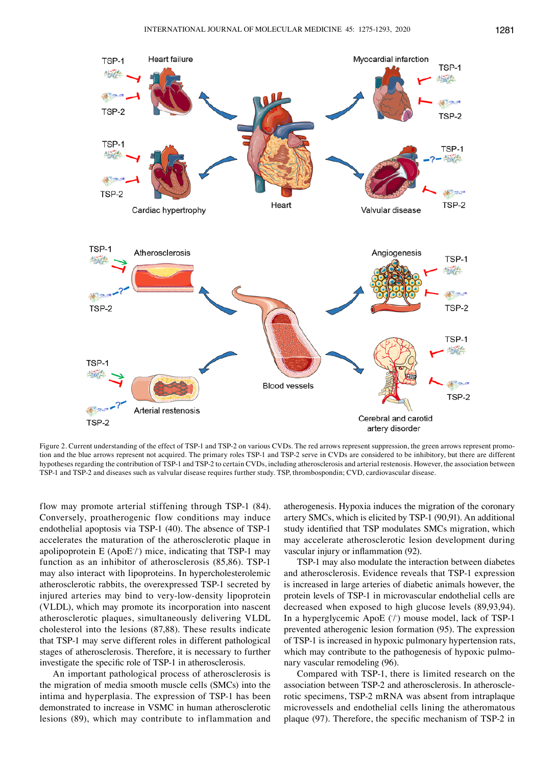

Figure 2. Current understanding of the effect of TSP-1 and TSP-2 on various CVDs. The red arrows represent suppression, the green arrows represent promotion and the blue arrows represent not acquired. The primary roles TSP-1 and TSP-2 serve in CVDs are considered to be inhibitory, but there are different hypotheses regarding the contribution of TSP-1 and TSP-2 to certain CVDs, including atherosclerosis and arterial restenosis. However, the association between TSP-1 and TSP-2 and diseases such as valvular disease requires further study. TSP, thrombospondin; CVD, cardiovascular disease.

flow may promote arterial stiffening through TSP-1 (84). Conversely, proatherogenic flow conditions may induce endothelial apoptosis via TSP-1 (40). The absence of TSP-1 accelerates the maturation of the atherosclerotic plaque in apolipoprotein E (ApoE/) mice, indicating that TSP-1 may function as an inhibitor of atherosclerosis (85,86). TSP-1 may also interact with lipoproteins. In hypercholesterolemic atherosclerotic rabbits, the overexpressed TSP-1 secreted by injured arteries may bind to very-low-density lipoprotein (VLDL), which may promote its incorporation into nascent atherosclerotic plaques, simultaneously delivering VLDL cholesterol into the lesions (87,88). These results indicate that TSP-1 may serve different roles in different pathological stages of atherosclerosis. Therefore, it is necessary to further investigate the specific role of TSP‑1 in atherosclerosis.

An important pathological process of atherosclerosis is the migration of media smooth muscle cells (SMCs) into the intima and hyperplasia. The expression of TSP-1 has been demonstrated to increase in VSMC in human atherosclerotic lesions (89), which may contribute to inflammation and atherogenesis. Hypoxia induces the migration of the coronary artery SMCs, which is elicited by TSP-1 (90,91). An additional study identified that TSP modulates SMCs migration, which may accelerate atherosclerotic lesion development during vascular injury or inflammation (92).

TSP-1 may also modulate the interaction between diabetes and atherosclerosis. Evidence reveals that TSP-1 expression is increased in large arteries of diabetic animals however, the protein levels of TSP-1 in microvascular endothelial cells are decreased when exposed to high glucose levels (89,93,94). In a hyperglycemic ApoE  $(1)$  mouse model, lack of TSP-1 prevented atherogenic lesion formation (95). The expression of TSP-1 is increased in hypoxic pulmonary hypertension rats, which may contribute to the pathogenesis of hypoxic pulmonary vascular remodeling (96).

Compared with TSP-1, there is limited research on the association between TSP-2 and atherosclerosis. In atherosclerotic specimens, TSP-2 mRNA was absent from intraplaque microvessels and endothelial cells lining the atheromatous plaque (97). Therefore, the specific mechanism of TSP‑2 in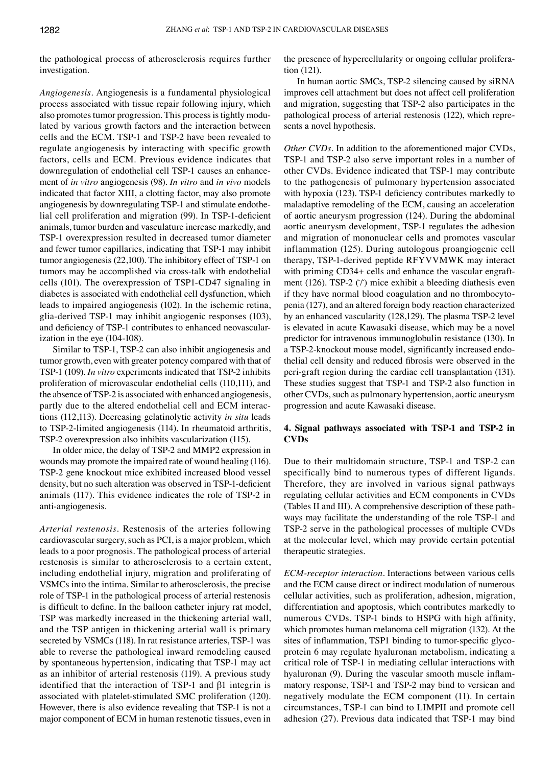the pathological process of atherosclerosis requires further investigation.

*Angiogenesis.* Angiogenesis is a fundamental physiological process associated with tissue repair following injury, which also promotes tumor progression. This process is tightly modulated by various growth factors and the interaction between cells and the ECM. TSP-1 and TSP-2 have been revealed to regulate angiogenesis by interacting with specific growth factors, cells and ECM. Previous evidence indicates that downregulation of endothelial cell TSP-1 causes an enhancement of *in vitro* angiogenesis (98). *In vitro* and *in vivo* models indicated that factor XIII, a clotting factor, may also promote angiogenesis by downregulating TSP-1 and stimulate endothelial cell proliferation and migration (99). In TSP-1-deficient animals, tumor burden and vasculature increase markedly, and TSP-1 overexpression resulted in decreased tumor diameter and fewer tumor capillaries, indicating that TSP-1 may inhibit tumor angiogenesis (22,100). The inhibitory effect of TSP-1 on tumors may be accomplished via cross-talk with endothelial cells (101). The overexpression of TSP1‑CD47 signaling in diabetes is associated with endothelial cell dysfunction, which leads to impaired angiogenesis (102). In the ischemic retina, glia-derived TSP-1 may inhibit angiogenic responses (103), and deficiency of TSP-1 contributes to enhanced neovascularization in the eye (104-108).

Similar to TSP-1, TSP-2 can also inhibit angiogenesis and tumor growth, even with greater potency compared with that of TSP-1 (109). *In vitro* experiments indicated that TSP-2 inhibits proliferation of microvascular endothelial cells (110,111), and the absence of TSP-2 is associated with enhanced angiogenesis, partly due to the altered endothelial cell and ECM interactions (112,113). Decreasing gelatinolytic activity *in situ* leads to TSP-2-limited angiogenesis (114). In rheumatoid arthritis, TSP-2 overexpression also inhibits vascularization (115).

In older mice, the delay of TSP-2 and MMP2 expression in wounds may promote the impaired rate of wound healing (116). TSP-2 gene knockout mice exhibited increased blood vessel density, but no such alteration was observed in TSP-1-deficient animals (117). This evidence indicates the role of TSP-2 in anti-angiogenesis.

*Arterial restenosis.* Restenosis of the arteries following cardiovascular surgery, such as PCI, is a major problem, which leads to a poor prognosis. The pathological process of arterial restenosis is similar to atherosclerosis to a certain extent, including endothelial injury, migration and proliferating of VSMCs into the intima. Similar to atherosclerosis, the precise role of TSP-1 in the pathological process of arterial restenosis is difficult to define. In the balloon catheter injury rat model, TSP was markedly increased in the thickening arterial wall, and the TSP antigen in thickening arterial wall is primary secreted by VSMCs (118). In rat resistance arteries, TSP-1 was able to reverse the pathological inward remodeling caused by spontaneous hypertension, indicating that TSP-1 may act as an inhibitor of arterial restenosis (119). A previous study identified that the interaction of TSP-1 and β1 integrin is associated with platelet-stimulated SMC proliferation (120). However, there is also evidence revealing that TSP-1 is not a major component of ECM in human restenotic tissues, even in the presence of hypercellularity or ongoing cellular proliferation (121).

In human aortic SMCs, TSP-2 silencing caused by siRNA improves cell attachment but does not affect cell proliferation and migration, suggesting that TSP-2 also participates in the pathological process of arterial restenosis (122), which represents a novel hypothesis.

*Other CVDs.* In addition to the aforementioned major CVDs, TSP-1 and TSP-2 also serve important roles in a number of other CVDs. Evidence indicated that TSP-1 may contribute to the pathogenesis of pulmonary hypertension associated with hypoxia (123). TSP-1 deficiency contributes markedly to maladaptive remodeling of the ECM, causing an acceleration of aortic aneurysm progression (124). During the abdominal aortic aneurysm development, TSP-1 regulates the adhesion and migration of mononuclear cells and promotes vascular inflammation (125). During autologous proangiogenic cell therapy, TSP-1-derived peptide RFYVVMWK may interact with priming CD34+ cells and enhance the vascular engraftment (126). TSP-2  $(1)$  mice exhibit a bleeding diathesis even if they have normal blood coagulation and no thrombocytopenia (127), and an altered foreign body reaction characterized by an enhanced vascularity (128,129). The plasma TSP-2 level is elevated in acute Kawasaki disease, which may be a novel predictor for intravenous immunoglobulin resistance (130). In a TSP-2-knockout mouse model, significantly increased endothelial cell density and reduced fibrosis were observed in the peri-graft region during the cardiac cell transplantation (131). These studies suggest that TSP-1 and TSP-2 also function in other CVDs, such as pulmonary hypertension, aortic aneurysm progression and acute Kawasaki disease.

# **4. Signal pathways associated with TSP‑1 and TSP‑2 in CVDs**

Due to their multidomain structure, TSP-1 and TSP-2 can specifically bind to numerous types of different ligands. Therefore, they are involved in various signal pathways regulating cellular activities and ECM components in CVDs (Tables II and III). A comprehensive description of these pathways may facilitate the understanding of the role TSP-1 and TSP-2 serve in the pathological processes of multiple CVDs at the molecular level, which may provide certain potential therapeutic strategies.

*ECM‑receptor interaction.* Interactions between various cells and the ECM cause direct or indirect modulation of numerous cellular activities, such as proliferation, adhesion, migration, differentiation and apoptosis, which contributes markedly to numerous CVDs. TSP-1 binds to HSPG with high affinity, which promotes human melanoma cell migration (132). At the sites of inflammation, TSP1 binding to tumor-specific glycoprotein 6 may regulate hyaluronan metabolism, indicating a critical role of TSP-1 in mediating cellular interactions with hyaluronan (9). During the vascular smooth muscle inflammatory response, TSP-1 and TSP-2 may bind to versican and negatively modulate the ECM component (11). In certain circumstances, TSP-1 can bind to LIMPII and promote cell adhesion (27). Previous data indicated that TSP-1 may bind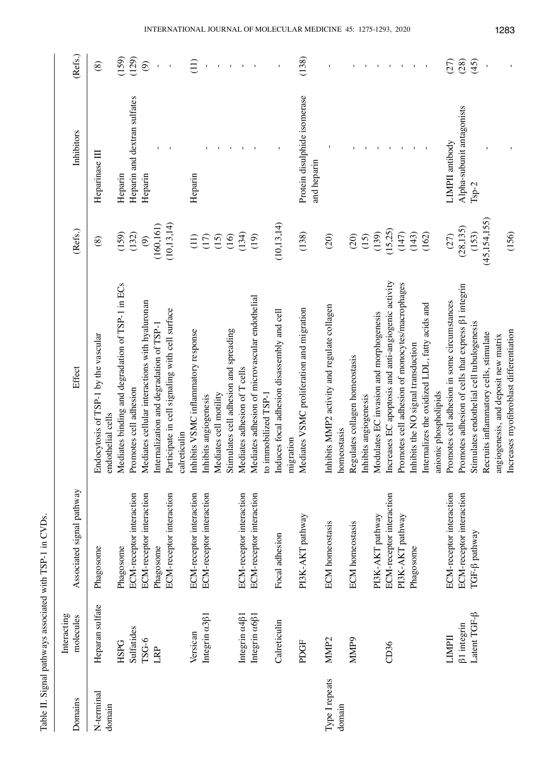| $\frac{1}{\sqrt{2}}$         |
|------------------------------|
| l                            |
|                              |
| I<br>イスト                     |
| ı                            |
| くうちくらく                       |
|                              |
| I<br>$\frac{1}{2}$<br>.<br>آ |
|                              |
|                              |

| Domains              | Interacting<br>molecules          | Associated signal pathway | Effect                                                             | (Refs.)                                     | Inhibitors                                  | (Refs.)       |
|----------------------|-----------------------------------|---------------------------|--------------------------------------------------------------------|---------------------------------------------|---------------------------------------------|---------------|
| N-terminal<br>domain | Heparan sulfate                   | Phagosome                 | Endocytosis of TSP-1 by the vascular<br>endothelial cells          | $\circledast$                               | Heparinase III                              | $\circledast$ |
|                      | <b>HSPG</b>                       | Phagosome                 | ediates binding and degradation of TSP-1 in ECs<br>Σ               | (159)                                       | Heparin                                     | (159)         |
|                      | Sulfatides                        | ECM-receptor interaction  | Promotes cell adhesion                                             | (132)                                       | Heparin and dextran sulfates                | (129)         |
|                      | TSG-6                             | ECM-receptor interaction  | ediates cellular interactions with hyaluronan<br>Σ                 | $\odot$                                     | Heparin                                     | $\odot$       |
|                      | LRP                               | Phagosome                 | Internalization and degradation of TSP-1                           | (160, 161)                                  |                                             |               |
|                      |                                   | ECM-receptor interaction  | Participate in cell signaling with cell surface                    | (10, 13, 14)                                |                                             |               |
|                      |                                   |                           | calreticulin                                                       |                                             |                                             |               |
|                      | Versican                          | ECM-receptor interaction  | Inhibits VSMC inflammatory response                                | (11)                                        | Heparin                                     | $\Xi$         |
|                      | Integrin a381                     | ECM-receptor interaction  | Inhibits angiogenesis                                              |                                             |                                             |               |
|                      |                                   |                           | Mediates cell motility                                             | $\begin{array}{c} (15) \\ (15) \end{array}$ |                                             |               |
|                      |                                   |                           | Stimulates cell adhesion and spreading                             | (16)                                        |                                             |               |
|                      | Integrin a4 <sub>61</sub>         | ECM-receptor interaction  | ediates adhesion of T cells<br>Σ                                   | (134)                                       |                                             |               |
|                      | Integrin $\alpha$ 6 <sup>81</sup> | ECM-receptor interaction  | ediates adhesion of microvascular endothelial<br>$\mathbf{\Sigma}$ | (19)                                        |                                             |               |
|                      |                                   |                           | immobilized TSP-1<br>$\mathbf{c}$                                  |                                             |                                             |               |
|                      | Calreticulin                      | Focal adhesion            | Induces focal adhesion disassembly and cell                        | (10, 13, 14)                                |                                             |               |
|                      |                                   |                           | migration                                                          |                                             |                                             |               |
|                      | PDGF                              | PI3K-AKT pathway          | ediates VSMC proliferation and migration<br>Σ                      | (138)                                       | Protein disulphide isomerase<br>and heparin | (138)         |
| Type I repeats       | MMP <sub>2</sub>                  | <b>ECM</b> homeostasis    | Inhibits MMP2 activity and regulate collagen                       | (20)                                        |                                             |               |
| domain               |                                   |                           | homeostasis                                                        |                                             |                                             |               |
|                      | MMP9                              | <b>ECM</b> homeostasis    | Regulates collagen homeostasis                                     | (20)                                        |                                             |               |
|                      |                                   |                           | Inhibits angiogenesis                                              | (15)                                        |                                             |               |
|                      |                                   | PI3K-AKT pathway          | Modulates EC invasion and morphogenesis                            | (139)                                       |                                             |               |
|                      | CD36                              | ECM-receptor interaction  | Increases EC apoptosis and anti-angiogenic activity                | (15,25)                                     |                                             |               |
|                      |                                   | PI3K-AKT pathway          | Promotes cell adhesion of monocytes/macrophages                    | (147)                                       |                                             |               |
|                      |                                   | Phagosome                 | Inhibits the NO signal transduction                                | (143)                                       |                                             |               |
|                      |                                   |                           | Internalizes the oxidized LDL, fatty acids and                     | (162)                                       |                                             |               |
|                      |                                   |                           | anionic phospholipids                                              |                                             |                                             |               |
|                      | LIMPII                            | ECM-receptor interaction  | Promotes cell adhesion in some circumstances                       | (27)                                        | LIMPII antibody                             | (27)          |
|                      | <b>B1</b> integrin                | ECM-receptor interaction  | Promotes adhesion of cells that express $\beta$ 1 integrin         | (28, 135)                                   | Alpha-subunit antagonists                   | (28)          |
|                      | Latent TGF-ß                      | TGF- <sub>B</sub> pathway | Stimulates endothelial cell tubulogenesis                          | (153)                                       | $Tsp-2$                                     | (45)          |
|                      |                                   |                           | Recruits inflammatory cells, stimulate                             | (45, 154, 155)                              |                                             |               |
|                      |                                   |                           | angiogenesis, and deposit new matrix                               |                                             |                                             |               |
|                      |                                   |                           | Increases myofibroblast differentiation                            | (156)                                       |                                             |               |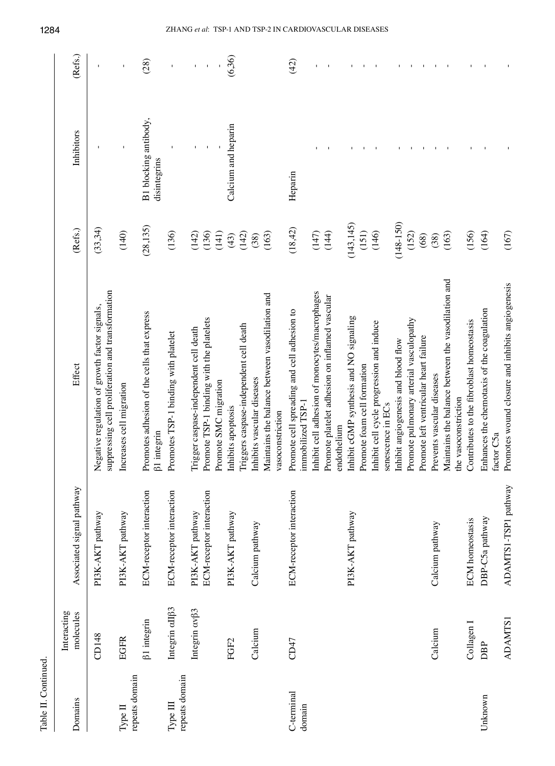| Domains                    | Interacting<br>molecules    | Associated signal pathway       | Effect                                                                                             | (Refs.)       | Inhibitors                            | (Refs.) |
|----------------------------|-----------------------------|---------------------------------|----------------------------------------------------------------------------------------------------|---------------|---------------------------------------|---------|
|                            | CD148                       | PI3K-AKT pathway                | suppressing cell proliferation and transformation<br>Negative regulation of growth factor signals, | (33,34)       |                                       |         |
| repeats domain<br>Type II  | <b>EGFR</b>                 | PI3K-AKT pathway                | Increases cell migration                                                                           | (140)         | $\overline{1}$                        | ı       |
|                            | <b>B1</b> integrin          | ECM-receptor interaction        | Promotes adhesion of the cells that express<br><b>B1</b> integrin                                  | (28, 135)     | B1 blocking antibody,<br>disintegrins | (28)    |
| repeats domain<br>Type III | Integrin aII <sub>B3</sub>  | ECM-receptor interaction        | Promotes TSP-1 binding with platelet                                                               | (136)         |                                       |         |
|                            | Integrin cv <sub>[3</sub> 3 | PI3K-AKT pathway                | Trigger caspase-independent cell death                                                             | (142)         |                                       |         |
|                            |                             | ECM-receptor interaction        | Promote TSP-1 binding with the platelets                                                           | (136)         |                                       |         |
|                            |                             |                                 | Promote SMC migration                                                                              | (141)         |                                       |         |
|                            | FGF <sub>2</sub>            | PI3K-AKT pathway                | Inhibits apoptosis                                                                                 | (142)<br>(43) | Calcium and heparin                   | (6,36)  |
|                            |                             |                                 | Triggers caspase-independent cell death                                                            |               |                                       |         |
|                            | Calcium                     | Calcium pathway                 | Inhibits vascular diseases                                                                         | (163)<br>(38) |                                       |         |
|                            |                             |                                 | Maintains the balance between vasodilation and<br>vasoconstriction                                 |               |                                       |         |
| C-terminal<br>domain       | CD47                        | <b>ECM-receptor interaction</b> | Promote cell spreading and cell adhesion to<br>immobilized TSP-1                                   | (18, 42)      | Heparin                               | (42)    |
|                            |                             |                                 | Inhibit cell adhesion of monocytes/macrophages                                                     | (147)         |                                       |         |
|                            |                             |                                 | Promote platelet adhesion on inflamed vascular                                                     | (144)         |                                       |         |
|                            |                             |                                 | endothelium                                                                                        |               |                                       |         |
|                            |                             | PI3K-AKT pathway                | Inhibit cGMP synthesis and NO signaling                                                            | (143, 145)    |                                       |         |
|                            |                             |                                 | Promote foam cell formation                                                                        | (151)         |                                       |         |
|                            |                             |                                 | Inhibit cell cycle progression and induce<br>senescence in ECs                                     | (146)         |                                       |         |
|                            |                             |                                 | Inhibit angiogenesis and blood flow                                                                | $(148 - 150)$ |                                       |         |
|                            |                             |                                 | Promote pulmonary arterial vasculopathy                                                            | (152)         |                                       |         |
|                            |                             |                                 | Promote left ventricular heart failure                                                             | (68)          |                                       |         |
|                            | Calcium                     | Calcium pathway                 | Prevents vascular diseases                                                                         | (38)          |                                       |         |
|                            |                             |                                 | Maintains the balance between the vasodilation and<br>the vasoconstriction                         | (163)         |                                       |         |
|                            | Collagen I                  | <b>ECM</b> homeostasis          | Contributes to the fibroblast homeostasis                                                          | (156)         |                                       |         |
| Unknown                    | DBP                         | DBP-C5a pathway                 | Enhances the chemotaxis of the coagulation<br>factor C5a                                           | (164)         |                                       |         |
|                            | <b>ADAMTS1</b>              | ADAMTS1-TSP1 pathway            | Promotes wound closure and inhibits angiogenesis                                                   | (167)         |                                       |         |

Table II. Continued. Continued.

1284 ZHANG *et al*: TSP-1 AND TSP-2 IN CARDIOVASCULAR DISEASES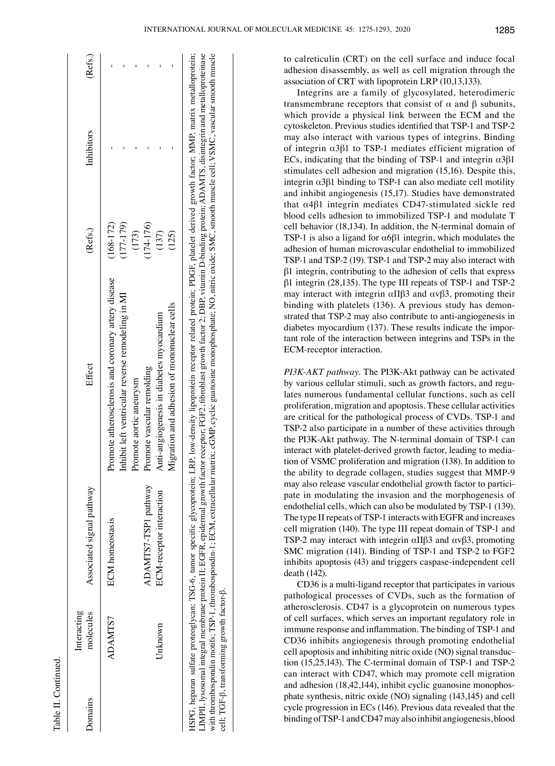| <b>Domains</b> | Interacting<br>molecules | Associated signal pathway | Effect                                              | (Refs.)       | Inhibitors | (Refs.) |
|----------------|--------------------------|---------------------------|-----------------------------------------------------|---------------|------------|---------|
|                | ADAMIS7                  | <b>ECM</b> homeostasis    | Fromote atherosclerosis and coronary artery disease | $(168 - 172)$ |            |         |
|                |                          |                           | nhibit left ventricular reverse remodeling in MI    | $(177 - 179)$ |            |         |
|                |                          |                           | Promote aortic aneurysm                             | (173)         |            |         |
|                |                          | ADAMTS7-TSP1 pathway      | romote vascular remolding                           | $(174 - 176)$ |            |         |
|                | Unknown                  | ECM-receptor interaction  | Anti-angiogenesis in diabetes myocardium            | (137)         |            |         |
|                |                          |                           | Vligration and adhesion of mononuclear cells        | (125)         |            |         |

with thrombospondin motifs; TSP-1, thrombospondin-1; E

cell; TGF-β, transforming growth factor-β.

cell; TGF-ß, transforming growth factor-ß.

CM, extracellular matrix; cGMP, cyclic guanosine monophosphate; NO, nitric oxide; SM

with thrombospondin motifs; TSP-1, thrombospondin-1; ECM, extracellular matrix; cGMP, cyclic guanosine monophosphate; NO, nitric oxide; SMC, smooth muscle cell; VSMC, vascular smooth muscle

C, smooth muscle cell; VSM

C, vascular smooth muscle

to calreticulin (CRT) on the cell surface and induce focal adhesion disassembly, as well as cell migration through the association of CRT with lipoprotein LRP (10,13,133).

Integrins are a family of glycosylated, heterodimeric transmembrane receptors that consist of α and β subunits, which provide a physical link between the ECM and the cytoskeleton. Previous studies identified that TSP‑1 and TSP‑2 may also interact with various types of integrins. Binding of integrin α3β1 to TSP-1 mediates efficient migration of ECs, indicating that the binding of TSP-1 and integrin  $\alpha$ 3 $\beta$ 1 stimulates cell adhesion and migration (15,16). Despite this, integrin  $α3β1$  binding to TSP-1 can also mediate cell motility and inhibit angiogenesis (15,17). Studies have demonstrated that α4β1 integrin mediates CD47-stimulated sickle red blood cells adhesion to immobilized TSP-1 and modulate T cell behavior (18,134). In addition, the N-terminal domain of TSP-1 is also a ligand for  $\alpha$ 6 $\beta$ 1 integrin, which modulates the adhesion of human microvascular endothelial to immobilized TSP-1 and TSP-2 (19). TSP-1 and TSP-2 may also interact with β1 integrin, contributing to the adhesion of cells that express β1 integrin (28,135). The type III repeats of TSP-1 and TSP-2 may interact with integrin  $\alpha$ IIβ3 and  $\alpha$ vβ3, promoting their binding with platelets (136). A previous study has demonstrated that TSP-2 may also contribute to anti-angiogenesis in diabetes myocardium (137). These results indicate the important role of the interaction between integrins and TSPs in the ECM-receptor interaction.

*PI3K‑AKT pathway.* The PI3K-Akt pathway can be activated by various cellular stimuli, such as growth factors, and regulates numerous fundamental cellular functions, such as cell proliferation, migration and apoptosis. These cellular activities are critical for the pathological process of CVDs. TSP-1 and TSP-2 also participate in a number of these activities through the PI3K-Akt pathway. The N-terminal domain of TSP-1 can interact with platelet-derived growth factor, leading to mediation of VSMC proliferation and migration (138). In addition to the ability to degrade collagen, studies suggest that MMP-9 may also release vascular endothelial growth factor to participate in modulating the invasion and the morphogenesis of endothelial cells, which can also be modulated by TSP-1 (139). The type II repeats of TSP-1 interacts with EGFR and increases cell migration (140). The type III repeat domain of TSP-1 and TSP-2 may interact with integrin αIIβ3 and αvβ3, promoting SMC migration (141). Binding of TSP-1 and TSP-2 to FGF2 inhibits apoptosis (43) and triggers caspase-independent cell death (142).

CD36 is a multi-ligand receptor that participates in various pathological processes of CVDs, such as the formation of atherosclerosis. CD47 is a glycoprotein on numerous types of cell surfaces, which serves an important regulatory role in immune response and inflammation. The binding of TSP‑1 and CD36 inhibits angiogenesis through promoting endothelial cell apoptosis and inhibiting nitric oxide (NO) signal transduction (15,25,143). The C‑terminal domain of TSP-1 and TSP-2 can interact with CD47, which may promote cell migration and adhesion (18,42,144), inhibit cyclic guanosine monophosphate synthesis, nitric oxide (NO) signaling (143,145) and cell cycle progression in ECs (146). Previous data revealed that the binding of TSP-1 and CD47 may also inhibit angiogenesis, blood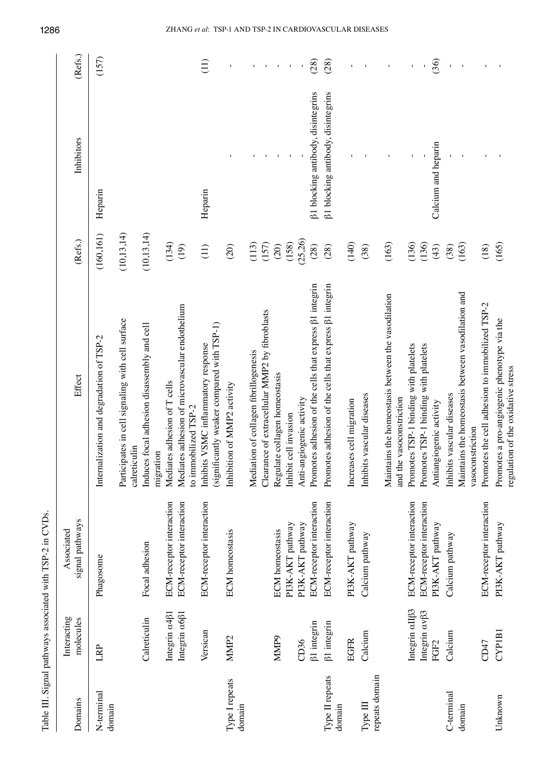|                            |                           | Table III. Signal pathways associated with TSP-2 in CVDs. |                                                                                   |              |                                    |                                                        |
|----------------------------|---------------------------|-----------------------------------------------------------|-----------------------------------------------------------------------------------|--------------|------------------------------------|--------------------------------------------------------|
| Domains                    | Interacting<br>molecules  | signal pathways<br>Associated                             | Effect                                                                            | (Refs.)      | Inhibitors                         | (Refs.)                                                |
| N-terminal<br>domain       | LRP                       | Phagosome                                                 | Internalization and degradation of TSP-2                                          | (160, 161)   | Heparin                            | (157)                                                  |
|                            |                           |                                                           | Participates in cell signaling with cell surface<br>calreticulin                  | (10, 13, 14) |                                    |                                                        |
|                            | Calreticulin              | Focal adhesion                                            | Induces focal adhesion disassembly and cell<br>migration                          | (10, 13, 14) |                                    |                                                        |
|                            | Integrin a4 <sup>81</sup> | ECM-receptor interaction                                  | Mediates adhesion of T cells                                                      | (134)        |                                    |                                                        |
|                            | Integrin a6 <sup>61</sup> | ECM-receptor interaction                                  | Mediates adhesion of microvascular endothelium<br>to immobilized TSP-2            | (19)         |                                    |                                                        |
|                            | Versican                  | ECM-receptor interaction                                  | (significantly weaker compared with TSP-1)<br>Inhibits VSMC inflammatory response | (11)         | Heparin                            | $\left(\begin{matrix}1\ 1\end{matrix}\right)$          |
| Type I repeats<br>domain   | MMP <sub>2</sub>          | <b>ECM</b> homeostasis                                    | Inhibition of MMP2 activity                                                       | (20)         |                                    |                                                        |
|                            |                           |                                                           | Mediation of collagen fibrillogenesis                                             | (113)        |                                    |                                                        |
|                            |                           |                                                           | Clearance of extracellular MMP2 by fibroblasts                                    | (157)        | $\pm 1$                            |                                                        |
|                            | <b>MMP9</b>               | <b>ECM</b> homeostasis                                    | Regulate collagen homeostasis                                                     | (20)         | $\sim 10$                          | $\Gamma_{\rm c} = \Gamma_{\rm c} = \Gamma_{\rm c} = 1$ |
|                            |                           | PI3K-AKT pathway                                          | Inhibit cell invasion                                                             | (158)        |                                    |                                                        |
|                            | CD36                      | PI3K-AKT pathway                                          | Anti-angiogenic activity                                                          | (25,26)      |                                    |                                                        |
|                            | <b>B1</b> integrin        | ECM-receptor interaction                                  | Promotes adhesion of the cells that express $\beta$ 1 integrin                    | (28)         | ß1 blocking antibody, disintegrins | (28)                                                   |
| Type II repeats<br>domain  | <b>B1</b> integrin        | ECM-receptor interaction                                  | Promotes adhesion of the cells that express [31 integrin                          | (28)         | β1 blocking antibody, disintegrins | (28)                                                   |
|                            | <b>EGFR</b>               | PI3K-AKT pathway                                          | Increases cell migration                                                          | (140)        |                                    |                                                        |
| repeats domain<br>Type III | Calcium                   | Calcium pathway                                           | Inhibits vascular diseases                                                        | (38)         |                                    |                                                        |
|                            |                           |                                                           | Maintains the homeostasis between the vasodilation<br>and the vasoconstriction    | (163)        |                                    | $\,$ $\,$                                              |
|                            | Integrin aIIß3            | ECM-receptor interaction                                  | Promotes TSP-1 binding with platelets                                             | (136)        |                                    |                                                        |
|                            | Integrin av <sub>13</sub> | ECM-receptor interaction                                  | Promotes TSP-1 binding with platelets                                             | (136)        |                                    |                                                        |
|                            | FGF <sub>2</sub>          | PI3K-AKT pathway                                          | Antiangiogenic activity                                                           | (43)         | Calcium and heparin                | (36)                                                   |
| C-terminal                 | Calcium                   | Calcium pathway                                           | Inhibits vascular diseases                                                        | (38)         |                                    | $\mathsf I$                                            |
| domain                     |                           |                                                           | Maintains the homeostasis between vasodilation and<br>vasoconstriction            | (163)        |                                    |                                                        |
|                            | CD47                      | <b>ECM-receptor interaction</b>                           | Promotes the cell adhesion to immobilized TSP-2                                   | (18)         | $\mathbf{I}$                       | $\mathbf{I}$                                           |
| Unknown                    | CYP1B1                    | PI3K-AKT pathway                                          | Promotes a pro-angiogenic phenotype via the<br>regulation of the oxidative stress | (165)        |                                    |                                                        |

1286 ZHANG *et al*: TSP-1 AND TSP-2 IN CARDIOVASCULAR DISEASES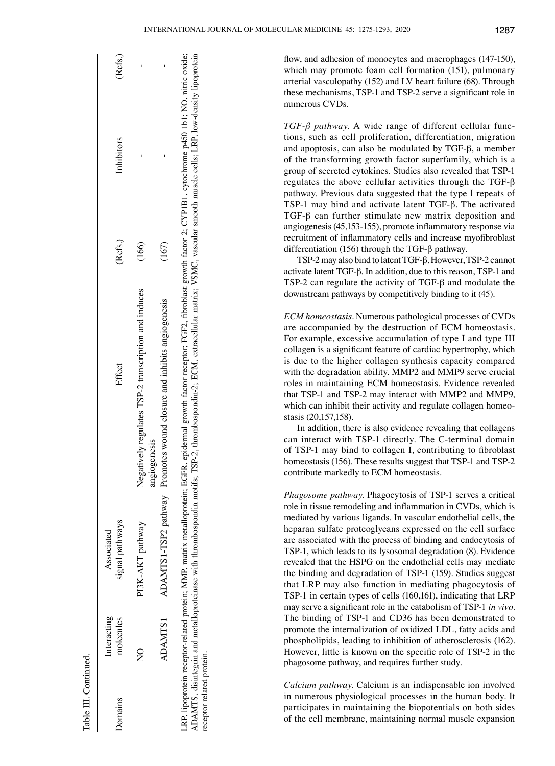flow, and adhesion of monocytes and macrophages (147‑150), which may promote foam cell formation (151), pulmonary arterial vasculopathy (152) and LV heart failure (68). Through these mechanisms, TSP‑1 and TSP‑2 serve a significant role in numerous CVDs.

*TGF‑β pathway.* A wide range of different cellular functions, such as cell proliferation, differentiation, migration and apoptosis, can also be modulated by TGF-β, a member of the transforming growth factor superfamily, which is a group of secreted cytokines. Studies also revealed that TSP-1 regulates the above cellular activities through the TGF-β pathway. Previous data suggested that the type I repeats of TSP-1 may bind and activate latent TGF-β. The activated TGF-β can further stimulate new matrix deposition and angiogenesis (45,153‑155), promote inflammatory response via recruitment of inflammatory cells and increase myofibroblast differentiation (156) through the TGF‑β pathway.

TSP-2 may also bind to latent TGF-β. However, TSP-2 cannot activate latent TGF-β. In addition, due to this reason, TSP-1 and TSP-2 can regulate the activity of TGF-β and modulate the downstream pathways by competitively binding to it (45).

*ECM homeostasis.* Numerous pathological processes of CVDs are accompanied by the destruction of ECM homeostasis. For example, excessive accumulation of type I and type III collagen is a significant feature of cardiac hypertrophy, which is due to the higher collagen synthesis capacity compared with the degradation ability. MMP2 and MMP9 serve crucial roles in maintaining ECM homeostasis. Evidence revealed that TSP-1 and TSP-2 may interact with MMP2 and MMP9, which can inhibit their activity and regulate collagen homeostasis (20,157,158).

In addition, there is also evidence revealing that collagens can interact with TSP-1 directly. The C‑terminal domain of TSP‑1 may bind to collagen I, contributing to fibroblast homeostasis (156). These results suggest that TSP-1 and TSP-2 contribute markedly to ECM homeostasis.

*Phagosome pathway.* Phagocytosis of TSP-1 serves a critical role in tissue remodeling and inflammation in CVDs, which is mediated by various ligands. In vascular endothelial cells, the heparan sulfate proteoglycans expressed on the cell surface are associated with the process of binding and endocytosis of TSP-1, which leads to its lysosomal degradation (8). Evidence revealed that the HSPG on the endothelial cells may mediate the binding and degradation of TSP-1 (159). Studies suggest that LRP may also function in mediating phagocytosis of TSP-1 in certain types of cells (160,161), indicating that LRP may serve a significant role in the catabolism of TSP‑1 *in vivo*. The binding of TSP-1 and CD36 has been demonstrated to promote the internalization of oxidized LDL, fatty acids and phospholipids, leading to inhibition of atherosclerosis (162). However, little is known on the specific role of TSP-2 in the phagosome pathway, and requires further study.

*Calcium pathway.* Calcium is an indispensable ion involved in numerous physiological processes in the human body. It participates in maintaining the biopotentials on both sides of the cell membrane, maintaining normal muscle expansion

| <b>Domains</b>            | Interacting<br>molecules  | signal pathways<br>Associated | Effect                                                                                                                                                                                                                                                                                                                                                                              | (Refs.) | Inhibitors | (Refs.) |
|---------------------------|---------------------------|-------------------------------|-------------------------------------------------------------------------------------------------------------------------------------------------------------------------------------------------------------------------------------------------------------------------------------------------------------------------------------------------------------------------------------|---------|------------|---------|
|                           | $\mathsf{S}^{\mathsf{O}}$ | PI3K-AKT pathway              | Negatively regulates TSP-2 transcription and induces                                                                                                                                                                                                                                                                                                                                | (166)   |            |         |
|                           | ADAMTS1                   |                               | ADAMTS1-TSP2 pathway Promotes wound closure and inhibits angiogenesis<br>angiogenesis                                                                                                                                                                                                                                                                                               | (167)   |            |         |
| receptor related protein. |                           |                               | ADAMTS, disintegrin and metalloproteinase with thrombospondin motifs; TSP-2, thrombospondin-2; ECM, extracellular matrix; VSMC, vascular smooth muscle cells; LRP, low-density lipoprotein<br>RP, lipoprotein receptor-related protein; MMP, matrix metalloprotein; EGFR, epidermal growth factor: FGF2, fibroblast growth factor 2; CYP1B1, cytochrome p450 1b1; NO, nitric oxide; |         |            |         |

Table III.

Continued.

Table III. Continued.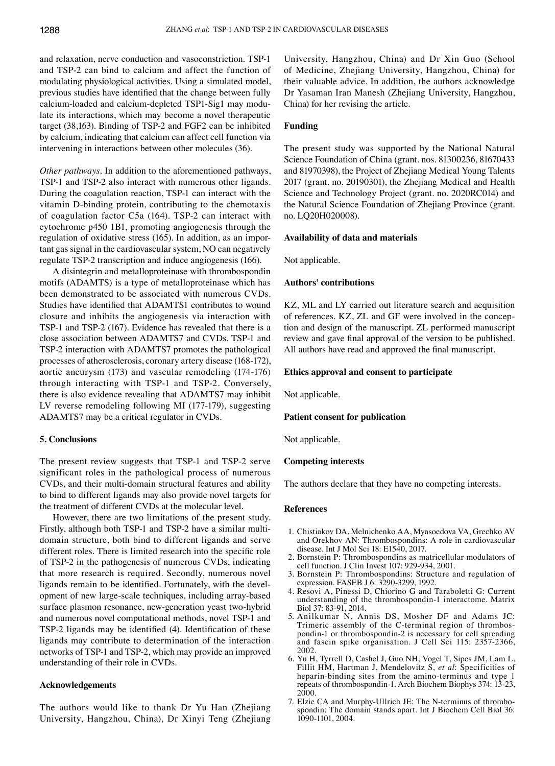and relaxation, nerve conduction and vasoconstriction. TSP-1 and TSP-2 can bind to calcium and affect the function of modulating physiological activities. Using a simulated model, previous studies have identified that the change between fully calcium-loaded and calcium-depleted TSP1-Sig1 may modulate its interactions, which may become a novel therapeutic target (38,163). Binding of TSP‑2 and FGF2 can be inhibited by calcium, indicating that calcium can affect cell function via intervening in interactions between other molecules (36).

*Other pathways.* In addition to the aforementioned pathways, TSP-1 and TSP-2 also interact with numerous other ligands. During the coagulation reaction, TSP-1 can interact with the vitamin D-binding protein, contributing to the chemotaxis of coagulation factor C5a (164). TSP‑2 can interact with cytochrome p450 1B1, promoting angiogenesis through the regulation of oxidative stress (165). In addition, as an important gas signal in the cardiovascular system, NO can negatively regulate TSP-2 transcription and induce angiogenesis (166).

A disintegrin and metalloproteinase with thrombospondin motifs (ADAMTS) is a type of metalloproteinase which has been demonstrated to be associated with numerous CVDs. Studies have identified that ADAMTS1 contributes to wound closure and inhibits the angiogenesis via interaction with TSP-1 and TSP-2 (167). Evidence has revealed that there is a close association between ADAMTS7 and CVDs. TSP-1 and TSP-2 interaction with ADAMTS7 promotes the pathological processes of atherosclerosis, coronary artery disease (168‑172), aortic aneurysm (173) and vascular remodeling (174‑176) through interacting with TSP-1 and TSP-2. Conversely, there is also evidence revealing that ADAMTS7 may inhibit LV reverse remodeling following MI (177-179), suggesting ADAMTS7 may be a critical regulator in CVDs.

## **5. Conclusions**

The present review suggests that TSP-1 and TSP-2 serve significant roles in the pathological process of numerous CVDs, and their multi-domain structural features and ability to bind to different ligands may also provide novel targets for the treatment of different CVDs at the molecular level.

However, there are two limitations of the present study. Firstly, although both TSP-1 and TSP-2 have a similar multidomain structure, both bind to different ligands and serve different roles. There is limited research into the specific role of TSP-2 in the pathogenesis of numerous CVDs, indicating that more research is required. Secondly, numerous novel ligands remain to be identified. Fortunately, with the development of new large-scale techniques, including array-based surface plasmon resonance, new-generation yeast two-hybrid and numerous novel computational methods, novel TSP-1 and TSP‑2 ligands may be identified (4). Identification of these ligands may contribute to determination of the interaction networks of TSP-1 and TSP-2, which may provide an improved understanding of their role in CVDs.

#### **Acknowledgements**

The authors would like to thank Dr Yu Han (Zhejiang University, Hangzhou, China), Dr Xinyi Teng (Zhejiang University, Hangzhou, China) and Dr Xin Guo (School of Medicine, Zhejiang University, Hangzhou, China) for their valuable advice. In addition, the authors acknowledge Dr Yasaman Iran Manesh (Zhejiang University, Hangzhou, China) for her revising the article.

#### **Funding**

The present study was supported by the National Natural Science Foundation of China (grant. nos. 81300236, 81670433 and 81970398), the Project of Zhejiang Medical Young Talents 2017 (grant. no. 20190301), the Zhejiang Medical and Health Science and Technology Project (grant. no. 2020RC014) and the Natural Science Foundation of Zhejiang Province (grant. no. LQ20H020008).

## **Availability of data and materials**

Not applicable.

#### **Authors' contributions**

KZ, ML and LY carried out literature search and acquisition of references. KZ, ZL and GF were involved in the conception and design of the manuscript. ZL performed manuscript review and gave final approval of the version to be published. All authors have read and approved the final manuscript.

#### **Ethics approval and consent to participate**

Not applicable.

## **Patient consent for publication**

Not applicable.

#### **Competing interests**

The authors declare that they have no competing interests.

#### **References**

- 1. Chistiakov DA, Melnichenko AA, Myasoedova VA, Grechko AV and Orekhov AN: Thrombospondins: A role in cardiovascular disease. Int J Mol Sci 18: E1540, 2017.
- 2. Bornstein P: Thrombospondins as matricellular modulators of cell function. J Clin Invest 107: 929-934, 2001.
- 3. Bornstein P: Thrombospondins: Structure and regulation of expression. FASEB J 6: 3290‑3299, 1992.
- 4. Resovi A, Pinessi D, Chiorino G and Taraboletti G: Current understanding of the thrombospondin-1 interactome. Matrix Biol 37: 83-91, 2014.
- 5. Anilkumar N, Annis DS, Mosher DF and Adams JC: Trimeric assembly of the C-terminal region of thrombospondin-1 or thrombospondin-2 is necessary for cell spreading and fascin spike organisation. J Cell Sci 115: 2357‑2366, 2002.
- 6. Yu H, Tyrrell D, Cashel J, Guo NH, Vogel T, Sipes JM, Lam L, Fillit HM, Hartman J, Mendelovitz S, *et al*: Specificities of heparin-binding sites from the amino-terminus and type 1 repeats of thrombospondin-1. Arch Biochem Biophys 374: 13-23, 2000.
- 7. Elzie CA and Murphy-Ullrich JE: The N-terminus of thrombospondin: The domain stands apart. Int J Biochem Cell Biol 36: 1090-1101, 2004.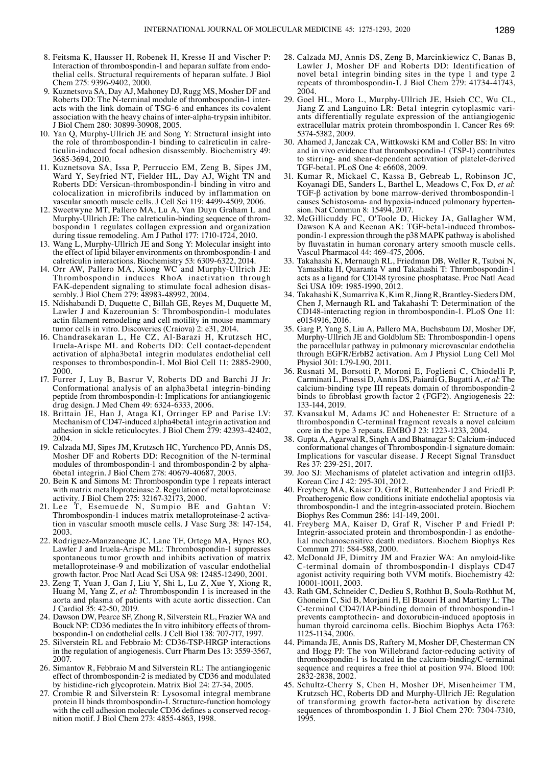- 8. Feitsma K, Hausser H, Robenek H, Kresse H and Vischer P: Interaction of thrombospondin-1 and heparan sulfate from endothelial cells. Structural requirements of heparan sulfate. J Biol Chem 275: 9396‑9402, 2000.
- 9. Kuznetsova SA, Day AJ, Mahoney DJ, Rugg MS, Mosher DF and Roberts DD: The N-terminal module of thrombospondin-1 interacts with the link domain of TSG‑6 and enhances its covalent association with the heavy chains of inter-alpha-trypsin inhibitor. J Biol Chem 280: 30899-30908, 2005.
- 10. Yan Q, Murphy-Ullrich JE and Song Y: Structural insight into the role of thrombospondin-1 binding to calreticulin in calreticulin-induced focal adhesion disassembly. Biochemistry 49: 3685‑3694, 2010.
- 11. Kuznetsova SA, Issa P, Perruccio EM, Zeng B, Sipes JM, Ward Y, Seyfried NT, Fielder HL, Day AJ, Wight TN and Roberts DD: Versican-thrombospondin-1 binding in vitro and colocalization in microfibrils induced by inflammation on vascular smooth muscle cells. J Cell Sci 119: 4499‑4509, 2006.
- 12. Sweetwyne MT, Pallero MA, Lu A, Van Duyn Graham L and Murphy-Ullrich JE: The calreticulin-binding sequence of thrombospondin 1 regulates collagen expression and organization during tissue remodeling. Am J Pathol 177: 1710-1724, 2010.
- 13. Wang L, Murphy-Ullrich JE and Song Y: Molecular insight into the effect of lipid bilayer environments on thrombospondin-1 and calreticulin interactions. Biochemistry 53: 6309‑6322, 2014.
- 14. Orr AW, Pallero MA, Xiong WC and Murphy-Ullrich JE: Thrombospondin induces RhoA inactivation through FAK-dependent signaling to stimulate focal adhesion disassembly. J Biol Chem 279: 48983-48992, 2004.
- 15. Ndishabandi D, Duquette C, Billah GE, Reyes M, Duquette M, Lawler J and Kazerounian S: Thrombospondin-1 modulates actin filament remodeling and cell motility in mouse mammary tumor cells in vitro. Discoveries (Craiova) 2: e31, 2014.
- 16. Chandrasekaran L, He CZ, Al-Barazi H, Krutzsch HC, Iruela-Arispe ML and Roberts DD: Cell contact-dependent activation of alpha3beta1 integrin modulates endothelial cell responses to thrombospondin-1. Mol Biol Cell 11: 2885-2900, 2000.
- 17. Furrer J, Luy B, Basrur V, Roberts DD and Barchi JJ Jr: Conformational analysis of an alpha3beta1 integrin-binding peptide from thrombospondin-1: Implications for antiangiogenic drug design. J Med Chem 49: 6324‑6333, 2006.
- 18. Brittain JE, Han J, Ataga KI, Orringer EP and Parise LV: Mechanism of CD47-induced alpha4beta1 integrin activation and adhesion in sickle reticulocytes. J Biol Chem 279: 42393-42402, 2004.
- 19. Calzada MJ, Sipes JM, Krutzsch HC, Yurchenco PD, Annis DS, Mosher DF and Roberts DD: Recognition of the N-terminal modules of thrombospondin-1 and thrombospondin-2 by alpha-6beta1 integrin. J Biol Chem 278: 40679‑40687, 2003.
- 20. Bein K and Simons M: Thrombospondin type 1 repeats interact with matrix metalloproteinase 2. Regulation of metalloproteinase activity. J Biol Chem 275: 32167‑32173, 2000.
- 21. Lee T, Esemuede N, Sumpio BE and Gahtan V: Thrombospondin-1 induces matrix metalloproteinase-2 activation in vascular smooth muscle cells. J Vasc Surg 38: 147-154, 2003.
- 22. Rodriguez-Manzaneque JC, Lane TF, Ortega MA, Hynes RO, Lawler J and Iruela-Arispe ML: Thrombospondin-1 suppresses spontaneous tumor growth and inhibits activation of matrix metalloproteinase-9 and mobilization of vascular endothelial growth factor. Proc Natl Acad Sci USA 98: 12485-12490, 2001.
- 23. Zeng T, Yuan J, Gan J, Liu Y, Shi L, Lu Z, Xue Y, Xiong R, Huang M, Yang Z, *et al*: Thrombospondin 1 is increased in the aorta and plasma of patients with acute aortic dissection. Can J Cardiol 35: 42-50, 2019.
- 24. Dawson DW, Pearce SF, Zhong R, Silverstein RL, Frazier WA and Bouck NP: CD36 mediates the In vitro inhibitory effects of thrombospondin-1 on endothelial cells. J Cell Biol 138: 707-717, 1997.
- 25. Silverstein RL and Febbraio M: CD36‑TSP‑HRGP interactions in the regulation of angiogenesis. Curr Pharm Des 13: 3559‑3567, 2007.
- 26. Simantov R, Febbraio M and Silverstein RL: The antiangiogenic effect of thrombospondin‑2 is mediated by CD36 and modulated by histidine-rich glycoprotein. Matrix Biol 24: 27-34, 2005.
- 27. Crombie R and Silverstein R: Lysosomal integral membrane protein II binds thrombospondin-1. Structure-function homology with the cell adhesion molecule CD36 defines a conserved recognition motif. J Biol Chem 273: 4855‑4863, 1998.
- 28. Calzada MJ, Annis DS, Zeng B, Marcinkiewicz C, Banas B, Lawler J, Mosher DF and Roberts DD: Identification of novel beta1 integrin binding sites in the type 1 and type 2 repeats of thrombospondin-1. J Biol Chem 279: 41734-41743, 2004.
- 29. Goel HL, Moro L, Murphy-Ullrich JE, Hsieh CC, Wu CL, Jiang Z and Languino LR: Beta1 integrin cytoplasmic variants differentially regulate expression of the antiangiogenic extracellular matrix protein thrombospondin 1. Cancer Res 69: 5374-5382, 2009.
- 30. Ahamed J, Janczak CA, Wittkowski KM and Coller BS: In vitro and in vivo evidence that thrombospondin-1 (TSP-1) contributes to stirring- and shear-dependent activation of platelet-derived TGF‑beta1. PLoS One 4: e6608, 2009.
- 31. Kumar R, Mickael C, Kassa B, Gebreab L, Robinson JC, Koyanagi DE, Sanders L, Barthel L, Meadows C, Fox D, *et al*: TGF-β activation by bone marrow-derived thrombospondin-1 causes Schistosoma- and hypoxia-induced pulmonary hypertension. Nat Commun 8: 15494, 2017.
- 32. McGillicuddy FC, O'Toole D, Hickey JA, Gallagher WM, Dawson KA and Keenan AK: TGF-beta1-induced thrombospondin-1 expression through the p38 MAPK pathway is abolished by fluvastatin in human coronary artery smooth muscle cells. Vascul Pharmacol 44: 469‑475, 2006.
- 33. Takahashi K, Mernaugh RL, Friedman DB, Weller R, Tsuboi N, Yamashita H, Quaranta V and Takahashi T: Thrombospondin-1 acts as a ligand for CD148 tyrosine phosphatase. Proc Natl Acad Sci USA 109: 1985-1990, 2012.
- 34. Takahashi K, Sumarriva K, KimR, JiangR, Brantley-Sieders DM, Chen J, Mernaugh RL and Takahashi T: Determination of the CD148-interacting region in thrombospondin-1. PLoS One 11: e0154916, 2016.
- 35. Garg P, Yang S, Liu A, Pallero MA, Buchsbaum DJ, Mosher DF, Murphy-Ullrich JE and Goldblum SE: Thrombospondin-1 opens the paracellular pathway in pulmonary microvascular endothelia through EGFR/ErbB2 activation. Am J Physiol Lung Cell Mol Physiol 301: L79-L90, 2011.
- 36. Rusnati M, Borsotti P, Moroni E, Foglieni C, Chiodelli P, Carminati L, Pinessi D, Annis DS, Paiardi G, Bugatti A, *et al*: The calcium-binding type III repeats domain of thrombospondin-2 binds to fibroblast growth factor 2 (FGF2). Angiogenesis 22: 133-144, 2019.
- 37. Kvansakul M, Adams JC and Hohenester E: Structure of a thrombospondin C‑terminal fragment reveals a novel calcium core in the type 3 repeats. EMBO J 23: 1223-1233, 2004.
- 38. Gupta A, Agarwal R, Singh A and Bhatnagar S: Calcium-induced conformational changes of Thrombospondin-1 signature domain: Implications for vascular disease. J Recept Signal Transduct Res 37: 239-251, 2017.
- 39. Joo SJ: Mechanisms of platelet activation and integrin αIIβ3. Korean Circ J 42: 295-301, 2012.
- 40. Freyberg MA, Kaiser D, Graf R, Buttenbender J and Friedl P: Proatherogenic flow conditions initiate endothelial apoptosis via thrombospondin-1 and the integrin-associated protein. Biochem Biophys Res Commun 286: 141‑149, 2001.
- 41. Freyberg MA, Kaiser D, Graf R, Vischer P and Friedl P: Integrin-associated protein and thrombospondin-1 as endothelial mechanosensitive death mediators. Biochem Biophys Res Commun 271: 584-588, 2000.
- 42. McDonald JF, Dimitry JM and Frazier WA: An amyloid-like C‑terminal domain of thrombospondin-1 displays CD47 agonist activity requiring both VVM motifs. Biochemistry 42: 10001-10011, 2003.
- 43. Rath GM, Schneider C, Dedieu S, Rothhut B, Soula-Rothhut M, Ghoneim C, Sid B, Morjani H, El Btaouri H and Martiny L: The C‑terminal CD47/IAP-binding domain of thrombospondin-1 prevents camptothecin- and doxorubicin-induced apoptosis in human thyroid carcinoma cells. Biochim Biophys Acta 1763: 1125‑1134, 2006.
- 44. Pimanda JE, Annis DS, Raftery M, Mosher DF, Chesterman CN and Hogg PJ: The von Willebrand factor-reducing activity of thrombospondin-1 is located in the calcium-binding/C‑terminal sequence and requires a free thiol at position 974. Blood 100: 2832-2838, 2002.
- 45. Schultz‑Cherry S, Chen H, Mosher DF, Misenheimer TM, Krutzsch HC, Roberts DD and Murphy-Ullrich JE: Regulation of transforming growth factor-beta activation by discrete sequences of thrombospondin 1. J Biol Chem 270: 7304-7310, 1995.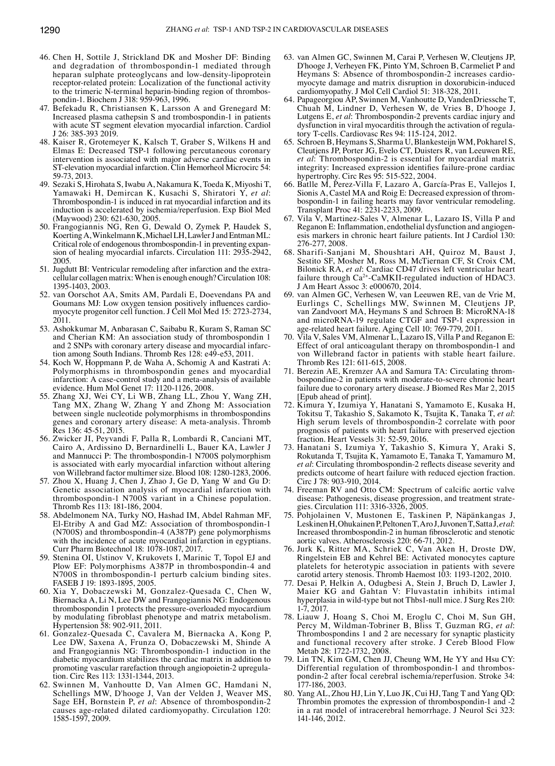- 46. Chen H, Sottile J, Strickland DK and Mosher DF: Binding and degradation of thrombospondin-1 mediated through heparan sulphate proteoglycans and low-density-lipoprotein receptor-related protein: Localization of the functional activity to the trimeric N-terminal heparin-binding region of thrombospondin‑1. Biochem J 318: 959‑963, 1996.
- 47. Befekadu R, Christiansen K, Larsson A and Grenegard M: Increased plasma cathepsin S and trombospondin-1 in patients with acute ST segment elevation myocardial infarction. Cardiol J 26: 385‑393 2019.
- 48. Kaiser R, Grotemeyer K, Kalsch T, Graber S, Wilkens H and Elmas E: Decreased TSP-1 following percutaneous coronary intervention is associated with major adverse cardiac events in ST-elevation myocardial infarction. Clin Hemorheol Microcirc 54: 59-73, 2013.
- 49. Sezaki S, Hirohata S, Iwabu A, Nakamura K, Toeda K, Miyoshi T, Yamawaki H, Demircan K, Kusachi S, Shiratori Y, *et al*: Thrombospondin-1 is induced in rat myocardial infarction and its induction is accelerated by ischemia/reperfusion. Exp Biol Med (Maywood) 230: 621‑630, 2005.
- 50. Frangogiannis NG, Ren G, Dewald O, Zymek P, Haudek S, Koerting A, Winkelmann K, Michael LH, Lawler J and Entman ML: Critical role of endogenous thrombospondin-1 in preventing expansion of healing myocardial infarcts. Circulation 111: 2935-2942, 2005.
- 51. Jugdutt BI: Ventricular remodeling after infarction and the extracellular collagen matrix: When is enough enough? Circulation 108: 1395-1403, 2003.
- 52. van Oorschot AA, Smits AM, Pardali E, Doevendans PA and Goumans MJ: Low oxygen tension positively influences cardiomyocyte progenitor cell function. J Cell Mol Med 15: 2723-2734, 2011.
- 53. Ashokkumar M, Anbarasan C, Saibabu R, Kuram S, Raman SC and Cherian KM: An association study of thrombospondin 1 and 2 SNPs with coronary artery disease and myocardial infarction among South Indians. Thromb Res 128: e49-e53, 2011.
- 54. Koch W, Hoppmann P, de Waha A, Schomig A and Kastrati A: Polymorphisms in thrombospondin genes and myocardial infarction: A case-control study and a meta-analysis of available evidence. Hum Mol Genet 17: 1120‑1126, 2008.
- 55. Zhang XJ, Wei CY, Li WB, Zhang LL, Zhou Y, Wang ZH, Tang MX, Zhang W, Zhang Y and Zhong M: Association between single nucleotide polymorphisms in thrombospondins genes and coronary artery disease: A meta-analysis. Thromb Res 136: 45‑51, 2015.
- 56. Zwicker JI, Peyvandi F, Palla R, Lombardi R, Canciani MT, Cairo A, Ardissino D, Bernardinelli L, Bauer KA, Lawler J and Mannucci P: The thrombospondin-1 N700S polymorphism is associated with early myocardial infarction without altering von Willebrand factor multimer size. Blood 108: 1280-1283, 2006.
- 57. Zhou X, Huang J, Chen J, Zhao J, Ge D, Yang W and Gu D: Genetic association analysis of myocardial infarction with thrombospondin-1 N700S variant in a Chinese population. Thromb Res 113: 181‑186, 2004.
- 58. Abdelmonem NA, Turky NO, Hashad IM, Abdel Rahman MF, El-Etriby A and Gad MZ: Association of thrombospondin-1 (N700S) and thrombospondin-4 (A387P) gene polymorphisms with the incidence of acute myocardial infarction in egyptians. Curr Pharm Biotechnol 18: 1078-1087, 2017.
- 59. Stenina OI, Ustinov V, Krukovets I, Marinic T, Topol EJ and Plow EF: Polymorphisms A387P in thrombospondin-4 and N700S in thrombospondin-1 perturb calcium binding sites. FASEB J 19: 1893-1895, 2005.
- 60. Xia Y, Dobaczewski M, Gonzalez-Quesada C, Chen W, Biernacka A, Li N, Lee DW and Frangogiannis NG: Endogenous thrombospondin 1 protects the pressure-overloaded myocardium by modulating fibroblast phenotype and matrix metabolism. Hypertension 58: 902-911, 2011.
- 61. Gonzalez-Quesada C, Cavalera M, Biernacka A, Kong P, Lee DW, Saxena A, Frunza O, Dobaczewski M, Shinde A and Frangogiannis NG: Thrombospondin-1 induction in the diabetic myocardium stabilizes the cardiac matrix in addition to promoting vascular rarefaction through angiopoietin-2 upregulation. Circ Res 113: 1331-1344, 2013.
- 62. Swinnen M, Vanhoutte D, Van Almen GC, Hamdani N, Schellings MW, D'hooge J, Van der Velden J, Weaver MS, Sage EH, Bornstein P, *et al*: Absence of thrombospondin-2 causes age-related dilated cardiomyopathy. Circulation 120: 1585-1597, 2009.
- 63. van Almen GC, Swinnen M, Carai P, Verhesen W, Cleutjens JP, D'hooge J, Verheyen FK, Pinto YM, Schroen B, Carmeliet P and Heymans S: Absence of thrombospondin-2 increases cardiomyocyte damage and matrix disruption in doxorubicin-induced cardiomyopathy. J Mol Cell Cardiol 51: 318-328, 2011.
- 64. Papageorgiou AP, Swinnen M, Vanhoutte D, VandenDriessche T, Chuah M, Lindner D, Verhesen W, de Vries B, D'hooge J, Lutgens E, *et al*: Thrombospondin-2 prevents cardiac injury and dysfunction in viral myocarditis through the activation of regulatory T-cells. Cardiovasc Res 94: 115-124, 2012.
- 65. Schroen B, Heymans S, Sharma U, Blankesteijn WM, Pokharel S, Cleutjens JP, Porter JG, Evelo CT, Duisters R, van Leeuwen RE, *et al*: Thrombospondin-2 is essential for myocardial matrix integrity: Increased expression identifies failure‑prone cardiac hypertrophy. Circ Res 95: 515-522, 2004.
- 66. Batlle M, Perez‑Villa F, Lazaro A, García‑Pras E, Vallejos I, Sionis A, Castel MA and Roig E: Decreased expression of thrombospondin-1 in failing hearts may favor ventricular remodeling. Transplant Proc 41: 2231-2233, 2009.
- 67. Vila V, Martinez-Sales V, Almenar L, Lazaro IS, Villa P and Reganon E: Inflammation, endothelial dysfunction and angiogenesis markers in chronic heart failure patients. Int J Cardiol 130: 276‑277, 2008.
- 68. Sharifi‑Sanjani M, Shoushtari AH, Quiroz M, Baust J, Sestito SF, Mosher M, Ross M, McTiernan CF, St Croix CM, Bilonick RA, *et al*: Cardiac CD47 drives left ventricular heart failure through Ca<sup>2+</sup>-CaMKII-regulated induction of HDAC3. J Am Heart Assoc 3: e000670, 2014.
- 69. van Almen GC, Verhesen W, van Leeuwen RE, van de Vrie M, Eurlings C, Schellings MW, Swinnen M, Cleutjens JP, van Zandvoort MA, Heymans S and Schroen B: MicroRNA-18 and microRNA-19 regulate CTGF and TSP-1 expression in age-related heart failure. Aging Cell 10: 769-779, 2011.
- 70. Vila V, Sales VM, Almenar L, Lazaro IS, Villa P and Reganon E: Effect of oral anticoagulant therapy on thrombospondin-1 and von Willebrand factor in patients with stable heart failure. Thromb Res 121: 611‑615, 2008.
- 71. Berezin AE, Kremzer AA and Samura TA: Circulating thrombospondine-2 in patients with moderate-to-severe chronic heart failure due to coronary artery disease. J Biomed Res Mar 2, 2015 [Epub ahead of print].
- 72. Kimura Y, Izumiya Y, Hanatani S, Yamamoto E, Kusaka H, Tokitsu T, Takashio S, Sakamoto K, Tsujita K, Tanaka T, *et al*: High serum levels of thrombospondin-2 correlate with poor prognosis of patients with heart failure with preserved ejection fraction. Heart Vessels 31: 52‑59, 2016.
- 73. Hanatani S, Izumiya Y, Takashio S, Kimura Y, Araki S, Rokutanda T, Tsujita K, Yamamoto E, Tanaka T, Yamamuro M, *et al*: Circulating thrombospondin‑2 reflects disease severity and predicts outcome of heart failure with reduced ejection fraction. Circ J 78: 903-910, 2014.
- 74. Freeman RV and Otto CM: Spectrum of calcific aortic valve disease: Pathogenesis, disease progression, and treatment strategies. Circulation 111: 3316‑3326, 2005.
- 75. Pohjolainen V, Mustonen E, Taskinen P, Näpänkangas J, LeskinenH, OhukainenP, PeltonenT, AroJ, JuvonenT, Satta J, *etal*: Increased thrombospondin‑2 in human fibrosclerotic and stenotic aortic valves. Atherosclerosis 220: 66‑71, 2012.
- 76. Jurk K, Ritter MA, Schriek C, Van Aken H, Droste DW, Ringelstein EB and Kehrel BE: Activated monocytes capture platelets for heterotypic association in patients with severe carotid artery stenosis. Thromb Haemost 103: 1193-1202, 2010.
- 77. Desai P, Helkin A, Odugbesi A, Stein J, Bruch D, Lawler J, Maier KG and Gahtan V: Fluvastatin inhibits intimal hyperplasia in wild-type but not Thbs1-null mice. J Surg Res 210: 1-7, 2017.
- 78. Liauw J, Hoang S, Choi M, Eroglu C, Choi M, Sun GH, Percy M, Wildman-Tobriner B, Bliss T, Guzman RG, *et al*: Thrombospondins 1 and 2 are necessary for synaptic plasticity and functional recovery after stroke. J Cereb Blood Flow Metab 28: 1722-1732, 2008.
- 79. Lin TN, Kim GM, Chen JJ, Cheung WM, He YY and Hsu CY: Differential regulation of thrombospondin-1 and thrombospondin-2 after focal cerebral ischemia/reperfusion. Stroke 34: 177‑186, 2003.
- 80. Yang AL, Zhou HJ, Lin Y, Luo JK, Cui HJ, Tang T and Yang QD: Thrombin promotes the expression of thrombospondin-1 and -2 in a rat model of intracerebral hemorrhage. J Neurol Sci 323: 141‑146, 2012.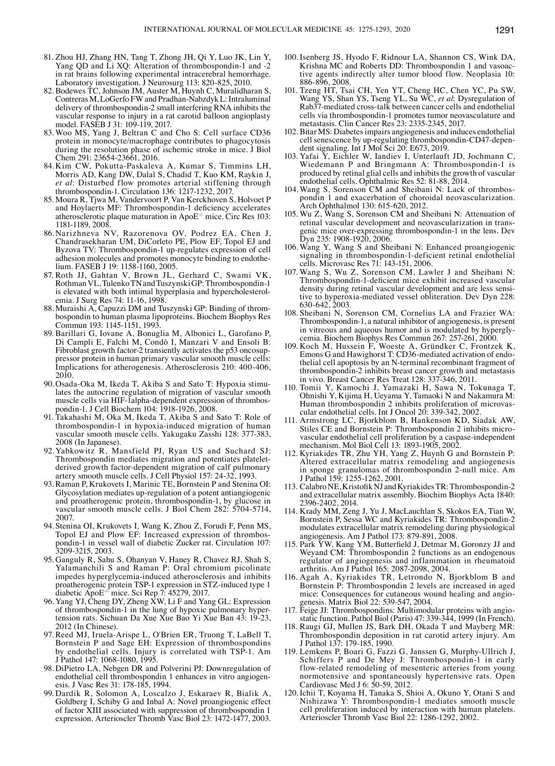- 81. Zhou HJ, Zhang HN, Tang T, Zhong JH, Qi Y, Luo JK, Lin Y, Yang QD and Li XQ: Alteration of thrombospondin-1 and -2 in rat brains following experimental intracerebral hemorrhage. Laboratory investigation. J Neurosurg 113: 820-825, 2010.
- 82. Bodewes TC, Johnson JM, Auster M, Huynh C, Muralidharan S, Contreras M, LoGerfo FW and Pradhan-Nabzdyk L: Intraluminal delivery of thrombospondin-2 small interfering RNA inhibits the vascular response to injury in a rat carotid balloon angioplasty model. FASĒB J 31: 109-119, 2017.
- 83. Woo MS, Yang J, Beltran C and Cho S: Cell surface CD36 protein in monocyte/macrophage contributes to phagocytosis during the resolution phase of ischemic stroke in mice. J Biol Chem 291: 23654‑23661, 2016.
- 84. Kim CW, Pokutta-Paskaleva A, Kumar S, Timmins LH, Morris AD, Kang DW, Dalal S, Chadid T, Kuo KM, Raykin J, *et al*: Disturbed flow promotes arterial stiffening through thrombospondin‑1. Circulation 136: 1217‑1232, 2017.
- 85. Moura R, Tjwa M, Vandervoort P, Van Kerckhoven S, Holvoet P and Hoylaerts MF: Thrombospondin-1 deficiency accelerates atherosclerotic plaque maturation in ApoE-/- mice. Circ Res 103: 1181-1189, 2008.
- 86. Narizhneva NV, Razorenova OV, Podrez EA, Chen J, Chandrasekharan UM, DiCorleto PE, Plow EF, Topol EJ and Byzova TV: Thrombospondin-1 up-regulates expression of cell adhesion molecules and promotes monocyte binding to endothe- lium. FASEB J 19: 1158‑1160, 2005.
- 87. Roth JJ, Gahtan V, Brown JL, Gerhard C, Swami VK, RothmanVL, TulenkoTN and TuszynskiGP: Thrombospondin-1 is elevated with both intimal hyperplasia and hypercholesterolenia. J Surg Res 74: 11-16, 1998.<br>88. Muraishi A, Capuzzi DM and Tuszynski GP: Binding of throm-
- bospondin to human plasma lipoproteins. Biochem Biophys Res Commun 193: 1145-1151, 1993.
- 89. Barillari G, Iovane A, Bonuglia M, Albonici L, Garofano P, Di Campli E, Falchi M, Condò I, Manzari V and Ensoli B: pressor protein in human primary vascular smooth muscle cells: Implications for atherogenesis. Atherosclerosis 210: 400‑406, 2010.<br>90. Osada-Oka M, Ikeda T, Akiba S and Sato T: Hypoxia stimu-
- lates the autocrine regulation of migration of vascular smooth muscle cells via HIF-Ialpha-dependent expression of thrombos-<br>pondin-1. J Cell Biochem 104: 1918-1926, 2008.
- 91. Takahashi M, Oka M, Ikeda T, Akiba S and Sato T: Role of thrombospondin-1 in hypoxia-induced migration of human vascular smooth muscle cells. Yakugaku Zasshi 128: 377-383, 2008 (In Japanese).
- 92.Yabkowitz R, Mansfield PJ, Ryan US and Suchard SJ: Thrombospondin mediates migration and potentiates plateletderived growth factor-dependent migration of calf pulmonary artery smooth muscle cells. J Cell Physiol 157: 24-32, 1993.
- 93. Raman P, Krukovets I, Marinic TE, Bornstein P and Stenina OI: Glycosylation mediates up-regulation of a potent antiangiogenic and proatherogenic protein, thrombospondin-1, by glucose in vascular smooth muscle cells. J Biol Chem 282: 5704-5714, 2007.
- 94. Stenina OI, Krukovets I, Wang K, Zhou Z, Forudi F, Penn MS, pondin-1 in vessel wall of diabetic Zucker rat. Circulation 107: 3209-3215, 2003.
- 95. Ganguly R, Sahu S, Ohanyan V, Haney R, Chavez RJ, Shah S, Yalamanchili S and Raman P: Oral chromium picolinate impedes hyperglycemia-induced atherosclerosis and inhibits proatherogenic protein TSP-1 expression in STZ-induced type 1 diabetic ApoE-/- mice. Sci Rep 7: 45279, 2017.
- 96. Yang YJ, Cheng DY, Zheng XW, Li F and Yang GL: Expression of thrombospondin-1 in the lung of hypoxic pulmonary hyper- tension rats. Sichuan Da Xue Xue Bao Yi Xue Ban 43: 19-23, 2012 (In Chinese).
- 97. Reed MJ, Iruela-Arispe L, O'Brien ER, Truong T, LaBell T, Bornstein P and Sage EH: Expression of thrombospondins by endothelial cells. Injury is correlated with TSP-1. Am J Pathol 147: 1068‑1080, 1995.
- 98. DiPietro LA, Nebgen DR and Polverini PJ: Downregulation of endothelial cell thrombospondin 1 enhances in vitro angiogen- esis. J Vasc Res 31: 178-185, 1994.
- 99. Dardik R, Solomon A, Loscalzo J, Eskaraev R, Bialik A, Goldberg I, Schiby G and Inbal A: Novel proangiogenic effect of factor XIII associated with suppression of thrombospondin 1 expression. Arterioscler Thromb Vasc Biol 23: 1472-1477, 2003.
- 100. Isenberg JS, Hyodo F, Ridnour LA, Shannon CS, Wink DA, tive agents indirectly alter tumor blood flow. Neoplasia 10: 886‑896, 2008.
- 101. Tzeng HT, Tsai CH, Yen YT, Cheng HC, Chen YC, Pu SW, Wang YS, Shan YS, Tseng YL, Su WC, *et al*: Dysregulation of Rab37-mediated cross-talk between cancer cells and endothelial cells via thrombospondin-1 promotes tumor neovasculature and metastasis. Clin Cancer Res 23: 2335-2345, 2017.
- 102. Bitar MS: Diabetes impairs angiogenesis and induces endothelial cell senescence by up-regulating thrombospondin-CD47-depen-<br>dent signaling. Int J Mol Sci 20: E673, 2019.<br>103. Yafai Y, Eichler W, Iandiev I, Unterlauft JD, Jochmann C,
- Wiedemann P and Bringmann A: Thrombospondin-1 is produced by retinal glial cells and inhibits the growth of vascular endothelial cells. Ophthalmic Res 52: 81-88, 2014.<br>104. Wang S, Sorenson CM and Sheibani N: Lack of thrombos-
- pondin 1 and exacerbation of choroidal neovascularization. Arch Ophthalmol 130: 615‑620, 2012.
- 105. Wu Z, Wang S, Sorenson CM and Sheibani N: Attenuation of genic mice over-expressing thrombospondin-1 in the lens. Dev Dyn 235: 1908–1920, 2006.
- 106. Wang Y, Wang S and Sheibani N: Enhanced proangiogenic signaling in thrombospondin-1-deficient retinal endothelial cells. Microvasc Res 71: 143‑151, 2006.
- 107. Wang S, Wu Z, Sorenson CM, Lawler J and Sheibani N: Thrombospondin-1-deficient mice exhibit increased vascular density during retinal vascular development and are less sensitive to hyperoxia-mediated vessel obliteration. Dev Dyn 228: 630‑642, 2003.
- 108. Sheibani N, Sorenson CM, Cornelius LA and Frazier WA: Thrombospondin-1, a natural inhibitor of angiogenesis, is present cemia. Biochem Biophys Res Commun 267: 257‑261, 2000.
- 109. Koch M, Hussein F, Woeste A, Gründker C, Frontzek K, the lial cell apoptosis by an N-terminal recombinant fragment of thrombospondin-2 inhibits breast cancer growth and metastasis in vivo. Breast Cancer Res Treat 128: 337‑346, 2011.
- 110. Tomii Y, Kamochi J, Yamazaki H, Sawa N, Tokunaga T, Ohnishi Y, Kijima H, Ueyama Y, Tamaoki N and Nakamura M: Human thrombospondin 2 inhibits proliferation of microvas- cular endothelial cells. Int J Oncol 20: 339-342, 2002.
- 111. Armstrong LC, Bjorkblom B, Hankenson KD, Siadak AW, vascular endothelial cell proliferation by a caspase-independent mechanism. Mol Biol Cell 13: 1893-1905, 2002.
- 112. Kyriakides TR, Zhu YH, Yang Z, Huynh G and Bornstein P: Altered extracellular matrix remodeling and angiogenesis in sponge granulomas of thrombospondin 2-null mice. Am J Pathol 159: 1255‑1262, 2001.
- 113. CalabroNE, KristofikNJ and KyriakidesTR: Thrombospondin‑2 and extracellular matrix assembly. Biochim Biophys Acta 1840: 2396‑2402, 2014.
- 114. Krady MM, Zeng J, Yu J, MacLauchlan S, Skokos EA, Tian W, Bornstein P, Sessa WC and Kyriakides TR: Thrombospondin-2 modulates extracellular matrix remodeling during physiological angiogenesis. Am J Pathol 173: 879-891, 2008.
- 115. Park YW, Kang YM, Butterfield J, Detmar M, Goronzy JJ and Weyand CM: Thrombospondin 2 functions as an endogenous regulator of angiogenesis and inflammation in rheumatoid arthritis. Am J Pathol 165: 2087‑2098, 2004.
- 116. Agah A, Kyriakides TR, Letrondo N, Bjorkblom B and Bornstein P: Thrombospondin 2 levels are increased in aged mice: Consequences for cutaneous wound healing and angio-<br>genesis. Matrix Biol 22: 539-547, 2004.<br>117. Feige JJ: Thrombospondins: Multimodular proteins with angio-
- static function. Pathol Biol (Paris) 47: 339-344, 1999 (In French).
- 118. Raugi GJ, Mullen JS, Bark DH, Okada T and Mayberg MR: Thrombospondin deposition in rat carotid artery injury. Am J Pathol 137: 179-185, 1990.
- 119. Lemkens P, Boari G, Fazzi G, Janssen G, Murphy-Ullrich J, Schiffers P and De Mey J: Thrombospondin-1 in early flow-related remodeling of mesenteric arteries from young normotensive and spontaneously hypertensive rats. Open Cardiovasc Med J 6: 50‑59, 2012.
- 120. Ichii T, Koyama H, Tanaka S, Shioi A, Okuno Y, Otani S and Nishizawa Y: Thrombospondin-1 mediates smooth muscle cell proliferation induced by interaction with human platelets. Arterioscler Thromb Vasc Biol 22: 1286‑1292, 2002.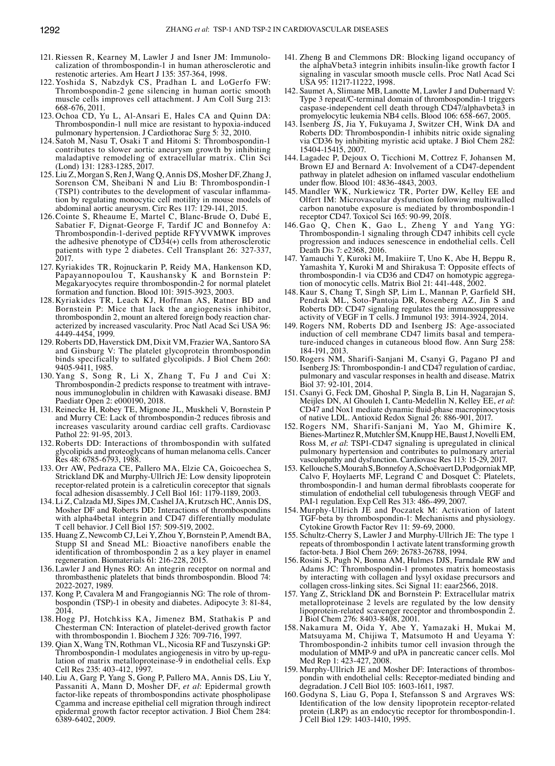- 121. Riessen R, Kearney M, Lawler J and Isner JM: Immunolocalization of thrombospondin-1 in human atherosclerotic and restenotic arteries. Am Heart J 135: 357‑364, 1998.
- 122. Yoshida S, Nabzdyk CS, Pradhan L and LoGerfo FW: Thrombospondin-2 gene silencing in human aortic smooth muscle cells improves cell attachment. J Am Coll Surg 213: 668‑676, 2011.
- 123. Ochoa CD, Yu L, Al-Ansari E, Hales CA and Quinn DA: Thrombospondin-1 null mice are resistant to hypoxia-induced pulmonary hypertension. J Cardiothorac Surg 5: 32, 2010.
- 124. Satoh M, Nasu T, Osaki T and Hitomi S: Thrombospondin-1 contributes to slower aortic aneurysm growth by inhibiting maladaptive remodeling of extracellular matrix. Clin Sci (Lond) 131: 1283-1285, 2017.
- 125. Liu Z, Morgan S, Ren J, Wang Q, Annis DS, Mosher DF, Zhang J, Sorenson CM, Sheibani N and Liu B: Thrombospondin-1 (TSP1) contributes to the development of vascular inflammation by regulating monocytic cell motility in mouse models of abdominal aortic aneurysm. Circ Res 117: 129-141, 2015.
- 126.Cointe S, Rheaume E, Martel C, Blanc-Brude O, Dubé E, Sabatier F, Dignat-George F, Tardif JC and Bonnefoy A: Thrombospondin-1-derived peptide RFYVVMWK improves the adhesive phenotype of  $\angle C\angle D34(+)$  cells from atherosclerotic patients with type 2 diabetes. Cell Transplant 26: 327‑337, 2017.
- 127. Kyriakides TR, Rojnuckarin P, Reidy MA, Hankenson KD, Papayannopoulou T, Kaushansky K and Bornstein P: Megakaryocytes require thrombospondin-2 for normal platelet formation and function. Blood 101: 3915-3923, 2003.
- 128. Kyriakides TR, Leach KJ, Hoffman AS, Ratner BD and Bornstein P: Mice that lack the angiogenesis inhibitor, thrombospondin 2, mount an altered foreign body reaction characterized by increased vascularity. Proc Natl Acad Sci USA 96: 4449-4454, 1999.
- 129. Roberts DD, Haverstick DM, Dixit VM, Frazier WA, Santoro SA and Ginsburg V: The platelet glycoprotein thrombospondin binds specifically to sulfated glycolipids. J Biol Chem 260: 9405-9411, 1985.
- 130. Yang S, Song R, Li X, Zhang T, Fu J and Cui X: Thrombospondin-2 predicts response to treatment with intravenous immunoglobulin in children with Kawasaki disease. BMJ Paediatr Open 2: e000190, 2018.
- 131. Reinecke H, Robey TE, Mignone JL, Muskheli V, Bornstein P and Murry CE: Lack of thrombospondin‑2 reduces fibrosis and increases vascularity around cardiac cell grafts. Cardiovasc Pathol 22: 91-95, 2013.
- 132. Roberts DD: Interactions of thrombospondin with sulfated glycolipids and proteoglycans of human melanoma cells. Cancer Res 48: 6785‑6793, 1988.
- 133. Orr AW, Pedraza CE, Pallero MA, Elzie CA, Goicoechea S, Strickland DK and Murphy-Ullrich JE: Low density lipoprotein receptor-related protein is a calreticulin coreceptor that signals focal adhesion disassembly. J Cell Biol 161: 1179‑1189, 2003.
- 134. Li Z, Calzada MJ, SipesJM, CashelJA, Krutzsch HC, Annis DS, Mosher DF and Roberts DD: Interactions of thrombospondins with alpha4beta1 integrin and CD47 differentially modulate T cell behavior. J Cell Biol 157: 509-519, 2002.
- 135. Huang Z, Newcomb CJ, Lei Y, Zhou Y, Bornstein P, Amendt BA, Stupp SI and Snead ML: Bioactive nanofibers enable the identification of thrombospondin 2 as a key player in enamel regeneration. Biomaterials 61: 216‑228, 2015.
- 136. Lawler J and Hynes RO: An integrin receptor on normal and thrombasthenic platelets that binds thrombospondin. Blood 74: 2022-2027, 1989.<br>137. Kong P, Cavalera M and Frangogiannis NG: The role of throm-
- bospondin (TSP)-1 in obesity and diabetes. Adipocyte 3: 81-84, 2014.
- 138. Hogg PJ, Hotchkiss KA, Jimenez BM, Stathakis P and Chesterman CN: Interaction of platelet-derived growth factor with thrombospondin 1. Biochem J 326: 709‑716, 1997.
- 139. Qian X, Wang TN, Rothman VL, Nicosia RF and Tuszynski GP: Thrombospondin-1 modulates angiogenesis in vitro by up-regulation of matrix metalloproteinase-9 in endothelial cells. Exp Cell Res 235: 403-412, 1997.
- 140. Liu A, Garg P, Yang S, Gong P, Pallero MA, Annis DS, Liu Y, Passaniti A, Mann D, Mosher DF, *et al*: Epidermal growth factor-like repeats of thrombospondins activate phospholipase Cgamma and increase epithelial cell migration through indirect epidermal growth factor receptor activation. J Biol Chem 284: 6389‑6402, 2009.
- 141. Zheng B and Clemmons DR: Blocking ligand occupancy of the alphaVbeta3 integrin inhibits insulin-like growth factor I signaling in vascular smooth muscle cells. Proc Natl Acad Sci USA 95: 11217-11222, 1998.
- 142. Saumet A, Slimane MB, Lanotte M, Lawler J and Dubernard V: Type 3 repeat/C‑terminal domain of thrombospondin-1 triggers caspase-independent cell death through CD47/alphavbeta3 in promyelocytic leukemia NB4 cells. Blood 106: 658‑667, 2005.
- 143. Isenberg JS, Jia Y, Fukuyama J, Switzer CH, Wink DA and Roberts DD: Thrombospondin-1 inhibits nitric oxide signaling via CD36 by inhibiting myristic acid uptake. J Biol Chem 282: 15404-15415, 2007.
- 144. Lagadec P, Dejoux O, Ticchioni M, Cottrez F, Johansen M, Brown EJ and Bernard A: Involvement of a CD47-dependent pathway in platelet adhesion on inflamed vascular endothelium under flow. Blood 101: 4836‑4843, 2003.
- 145. Mandler WK, Nurkiewicz TR, Porter DW, Kelley EE and Olfert IM: Microvascular dysfunction following multiwalled carbon nanotube exposure is mediated by thrombospondin-1 receptor CD47. Toxicol Sci 165: 90‑99, 2018.
- 146. Gao Q, Chen K, Gao L, Zheng Y and Yang YG: Thrombospondin-1 signaling through CD47 inhibits cell cycle progression and induces senescence in endothelial cells. Cell Death Dis 7: e2368, 2016.
- 147. Yamauchi Y, Kuroki M, Imakiire T, Uno K, Abe H, Beppu R, Yamashita Y, Kuroki M and Shirakusa T: Opposite effects of thrombospondin‑1 via CD36 and CD47 on homotypic aggregation of monocytic cells. Matrix Biol 21: 441-448, 2002.
- 148. Kaur S, Chang T, Singh SP, Lim L, Mannan P, Garfield SH, Pendrak ML, Soto‑Pantoja DR, Rosenberg AZ, Jin S and Roberts DD: CD47 signaling regulates the immunosuppressive activity of VEGF in T cells. J Immunol 193: 3914-3924, 2014.
- 149. Rogers NM, Roberts DD and Isenberg JS: Age-associated induction of cell membrane CD47 limits basal and temperature-induced changes in cutaneous blood flow. Ann Surg 258: 184-191, 2013.
- 150. Rogers NM, Sharifi‑Sanjani M, Csanyi G, Pagano PJ and Isenberg JS: Thrombospondin-1 and CD47 regulation of cardiac, pulmonary and vascular responses in health and disease. Matrix Biol 37: 92-101, 2014.
- 151. Csanyi G, Feck DM, Ghoshal P, Singla B, Lin H, Nagarajan S, Meijles DN, Al Ghouleh I, Cantu‑Medellin N, Kelley EE, *et al*: CD47 and Nox1 mediate dynamic fluid‑phase macropinocytosis of native LDL. Antioxid Redox Signal 26: 886‑901, 2017.
- 152. Rogers NM, Sharifi‑Sanjani M, Yao M, Ghimire K, Bienes-MartinezR, Mutchler SM, Knupp HE, BaustJ, Novelli EM, Ross M, *et al*: TSP1‑CD47 signaling is upregulated in clinical pulmonary hypertension and contributes to pulmonary arterial vasculopathy and dysfunction. Cardiovasc Res 113: 15-29, 2017.
- 153. KelloucheS, MourahS, BonnefoyA, Schoëvaert D, PodgorniakMP, Calvo F, Hoylaerts MF, Legrand C and Dosquet C: Platelets, thrombospondin‑1 and human dermal fibroblasts cooperate for stimulation of endothelial cell tubulogenesis through VEGF and PAI‑1 regulation. Exp Cell Res 313: 486‑499, 2007.
- 154. Murphy-Ullrich JE and Poczatek M: Activation of latent TGF-beta by thrombospondin-1: Mechanisms and physiology. Cytokine Growth Factor Rev 11: 59‑69, 2000.
- 155. Schultz‑Cherry S, Lawler J and Murphy-Ullrich JE: The type 1 repeats of thrombospondin 1 activate latent transforming growth factor‑beta. J Biol Chem 269: 26783‑26788, 1994.
- 156. Rosini S, Pugh N, Bonna AM, Hulmes DJS, Farndale RW and Adams JC: Thrombospondin-1 promotes matrix homeostasis by interacting with collagen and lysyl oxidase precursors and collagen cross‑linking sites. Sci Signal 11: eaar2566, 2018.
- 157. Yang Z, Strickland DK and Bornstein P: Extracellular matrix metalloproteinase 2 levels are regulated by the low density lipoprotein-related scavenger receptor and thrombospondin 2. J Biol Chem 276: 8403‑8408, 2001.
- 158. Nakamura M, Oida Y, Abe Y, Yamazaki H, Mukai M, Matsuyama M, Chijiwa T, Matsumoto H and Ueyama Y: Thrombospondin-2 inhibits tumor cell invasion through the modulation of MMP-9 and uPA in pancreatic cancer cells. Mol Med Rep 1: 423-427, 2008.
- 159. Murphy-Ullrich JE and Mosher DF: Interactions of thrombospondin with endothelial cells: Receptor-mediated binding and degradation. J Cell Biol 105: 1603‑1611, 1987.
- 160. Godyna S, Liau G, Popa I, Stefansson S and Argraves WS: Identification of the low density lipoprotein receptor‑related protein (LRP) as an endocytic receptor for thrombospondin-1. J Cell Biol 129: 1403-1410, 1995.